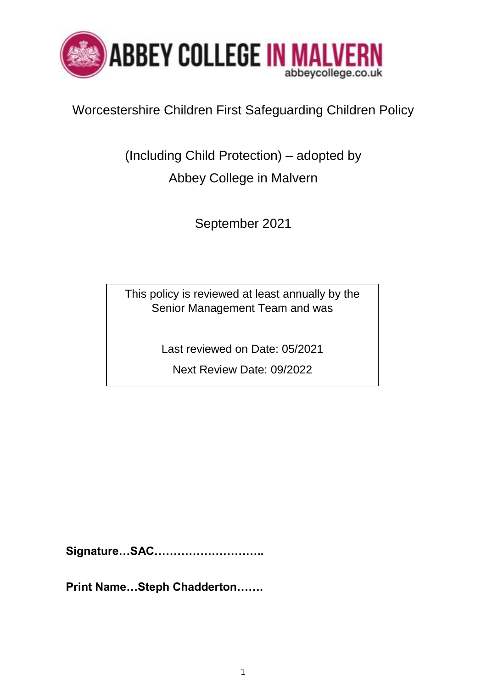

## Worcestershire Children First Safeguarding Children Policy

(Including Child Protection) – adopted by Abbey College in Malvern

September 2021

This policy is reviewed at least annually by the Senior Management Team and was

Last reviewed on Date: 05/2021

Next Review Date: 09/2022

**Signature…SAC………………………..**

**Print Name…Steph Chadderton…….**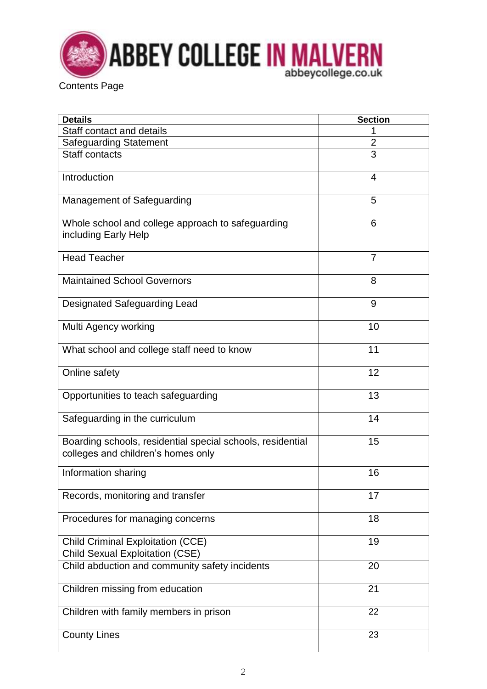

| <b>Details</b>                                                                                   | <b>Section</b> |
|--------------------------------------------------------------------------------------------------|----------------|
| Staff contact and details                                                                        | 1              |
| <b>Safeguarding Statement</b>                                                                    | $\overline{2}$ |
| <b>Staff contacts</b>                                                                            | $\overline{3}$ |
| Introduction                                                                                     | 4              |
| Management of Safeguarding                                                                       | 5              |
| Whole school and college approach to safeguarding<br>including Early Help                        | 6              |
| <b>Head Teacher</b>                                                                              | $\overline{7}$ |
| <b>Maintained School Governors</b>                                                               | 8              |
| <b>Designated Safeguarding Lead</b>                                                              | 9              |
| Multi Agency working                                                                             | 10             |
| What school and college staff need to know                                                       | 11             |
| Online safety                                                                                    | 12             |
| Opportunities to teach safeguarding                                                              | 13             |
| Safeguarding in the curriculum                                                                   | 14             |
| Boarding schools, residential special schools, residential<br>colleges and children's homes only | 15             |
| Information sharing                                                                              | 16             |
| Records, monitoring and transfer                                                                 | 17             |
| Procedures for managing concerns                                                                 | 18             |
| <b>Child Criminal Exploitation (CCE)</b><br><b>Child Sexual Exploitation (CSE)</b>               | 19             |
| Child abduction and community safety incidents                                                   | 20             |
| Children missing from education                                                                  | 21             |
| Children with family members in prison                                                           | 22             |
| <b>County Lines</b>                                                                              | 23             |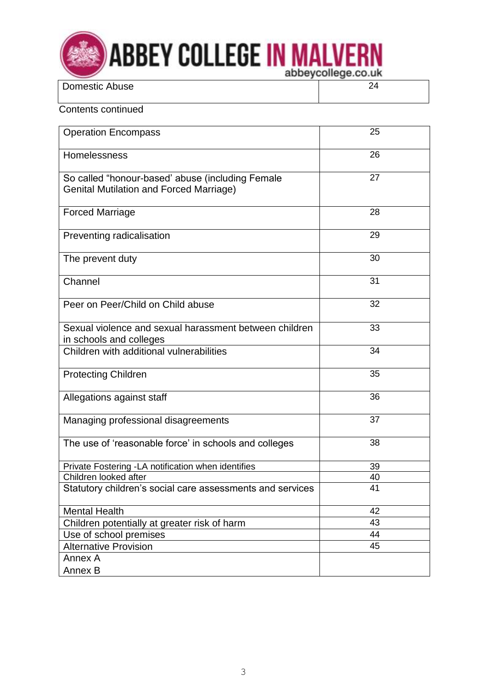

| <b>Domestic Abuse</b> |  |
|-----------------------|--|
|                       |  |

### Contents continued

| <b>Operation Encompass</b>                                                                         | 25 |
|----------------------------------------------------------------------------------------------------|----|
| Homelessness                                                                                       | 26 |
| So called "honour-based' abuse (including Female<br><b>Genital Mutilation and Forced Marriage)</b> | 27 |
| <b>Forced Marriage</b>                                                                             | 28 |
| Preventing radicalisation                                                                          | 29 |
| The prevent duty                                                                                   | 30 |
| Channel                                                                                            | 31 |
| Peer on Peer/Child on Child abuse                                                                  | 32 |
| Sexual violence and sexual harassment between children<br>in schools and colleges                  | 33 |
| Children with additional vulnerabilities                                                           | 34 |
| <b>Protecting Children</b>                                                                         | 35 |
| Allegations against staff                                                                          | 36 |
| Managing professional disagreements                                                                | 37 |
| The use of 'reasonable force' in schools and colleges                                              | 38 |
| Private Fostering -LA notification when identifies                                                 | 39 |
| Children looked after                                                                              | 40 |
| Statutory children's social care assessments and services                                          | 41 |
| <b>Mental Health</b>                                                                               | 42 |
| Children potentially at greater risk of harm                                                       | 43 |
| Use of school premises                                                                             | 44 |
| <b>Alternative Provision</b>                                                                       | 45 |
| Annex A                                                                                            |    |
| Annex B                                                                                            |    |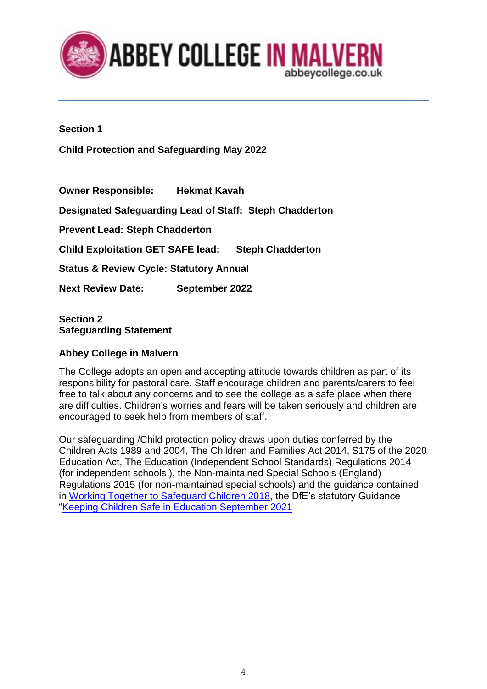

### **Section 1**

**Child Protection and Safeguarding May 2022**

**Owner Responsible: Hekmat Kavah Designated Safeguarding Lead of Staff: Steph Chadderton Prevent Lead: Steph Chadderton Child Exploitation GET SAFE lead: Steph Chadderton Status & Review Cycle: Statutory Annual Next Review Date: September 2022**

### **Section 2 Safeguarding Statement**

### **Abbey College in Malvern**

The College adopts an open and accepting attitude towards children as part of its responsibility for pastoral care. Staff encourage children and parents/carers to feel free to talk about any concerns and to see the college as a safe place when there are difficulties. Children's worries and fears will be taken seriously and children are encouraged to seek help from members of staff.

Our safeguarding /Child protection policy draws upon duties conferred by the Children Acts 1989 and 2004, The Children and Families Act 2014, S175 of the 2020 Education Act, The Education (Independent School Standards) Regulations 2014 (for independent schools ), the Non-maintained Special Schools (England) Regulations 2015 (for non-maintained special schools) and the guidance contained in [Working Together to Safeguard Children 2018,](https://assets.publishing.service.gov.uk/government/uploads/system/uploads/attachment_data/file/942454/Working_together_to_safeguard_children_inter_agency_guidance.pdf) the DfE's statutory Guidance ["Keeping Children Safe in Education September 2021](https://assets.publishing.service.gov.uk/government/uploads/system/uploads/attachment_data/file/999348/Keeping_children_safe_in_education_2021.pdf)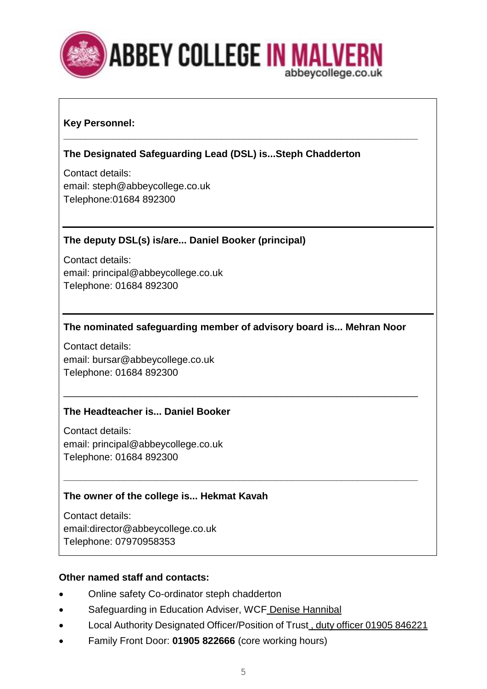

### **Key Personnel:**

### **The Designated Safeguarding Lead (DSL) is...Steph Chadderton**

**\_\_\_\_\_\_\_\_\_\_\_\_\_\_\_\_\_\_\_\_\_\_\_\_\_\_\_\_\_\_\_\_\_\_\_\_\_\_\_\_\_\_\_\_\_\_\_\_\_\_\_\_\_\_\_\_\_\_\_\_\_\_\_\_\_**

Contact details: email: steph@abbeycollege.co.uk Telephone:01684 892300

### **The deputy DSL(s) is/are... Daniel Booker (principal)**

Contact details: email: principal@abbeycollege.co.uk Telephone: 01684 892300

### **The nominated safeguarding member of advisory board is... Mehran Noor**

\_\_\_\_\_\_\_\_\_\_\_\_\_\_\_\_\_\_\_\_\_\_\_\_\_\_\_\_\_\_\_\_\_\_\_\_\_\_\_\_\_\_\_\_\_\_\_\_\_\_\_\_\_\_\_\_\_\_\_\_\_\_\_\_\_

**\_\_\_\_\_\_\_\_\_\_\_\_\_\_\_\_\_\_\_\_\_\_\_\_\_\_\_\_\_\_\_\_\_\_\_\_\_\_\_\_\_\_\_\_\_\_\_\_\_\_\_\_\_\_\_\_\_\_\_\_\_\_\_\_\_**

Contact details: email: bursar@abbeycollege.co.uk Telephone: 01684 892300

### **The Headteacher is... Daniel Booker**

Contact details: email: principal@abbeycollege.co.uk Telephone: 01684 892300

### **The owner of the college is... Hekmat Kavah**

Contact details: email:director@abbeycollege.co.uk Telephone: 07970958353

### **Other named staff and contacts:**

- Online safety Co-ordinator steph chadderton
- Safeguarding in Education Adviser, WCF Denise Hannibal
- Local Authority Designated Officer/Position of Trust , duty officer 01905 846221
- Family Front Door: **01905 822666** (core working hours)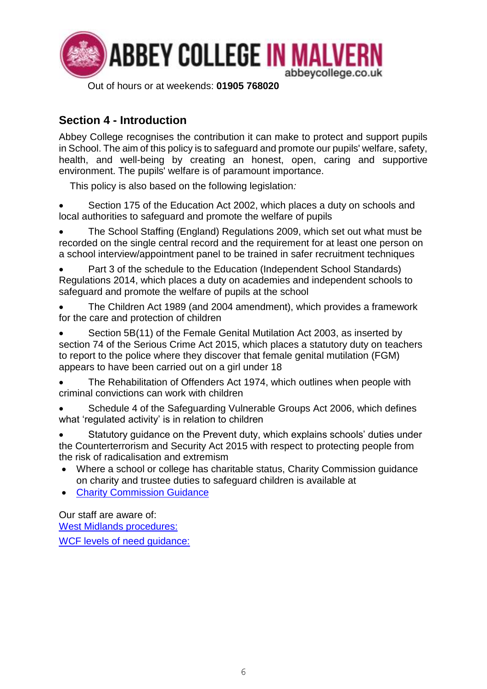

## **Section 4 - Introduction**

Abbey College recognises the contribution it can make to protect and support pupils in School. The aim of this policy is to safeguard and promote our pupils' welfare, safety, health, and well-being by creating an honest, open, caring and supportive environment. The pupils' welfare is of paramount importance.

This policy is also based on the following legislation*:* 

Section 175 of the Education Act 2002, which places a duty on schools and local authorities to safeguard and promote the welfare of pupils

• The School Staffing (England) Regulations 2009, which set out what must be recorded on the single central record and the requirement for at least one person on a school interview/appointment panel to be trained in safer recruitment techniques

- Part 3 of the schedule to the Education (Independent School Standards) Regulations 2014, which places a duty on academies and independent schools to safeguard and promote the welfare of pupils at the school
- The Children Act 1989 (and 2004 amendment), which provides a framework for the care and protection of children
- Section 5B(11) of the Female Genital Mutilation Act 2003, as inserted by section 74 of the Serious Crime Act 2015, which places a statutory duty on teachers to report to the police where they discover that female genital mutilation (FGM) appears to have been carried out on a girl under 18
- The Rehabilitation of Offenders Act 1974, which outlines when people with criminal convictions can work with children
- Schedule 4 of the Safeguarding Vulnerable Groups Act 2006, which defines what 'regulated activity' is in relation to children
- Statutory quidance on the Prevent duty, which explains schools' duties under the Counterterrorism and Security Act 2015 with respect to protecting people from the risk of radicalisation and extremism
- Where a school or college has charitable status, Charity Commission guidance on charity and trustee duties to safeguard children is available at
- [Charity Commission Guidance](https://www.gov.uk/guidance/charity-commission-guidance)

Our staff are aware of: [West Midlands procedures:](https://westmidlands.procedures.org.uk/) [WCF levels of need guidance:](http://www.worcestershire.gov.uk/downloads/file/7962/levels_of_need_guidance_formerly_threshold_guidance)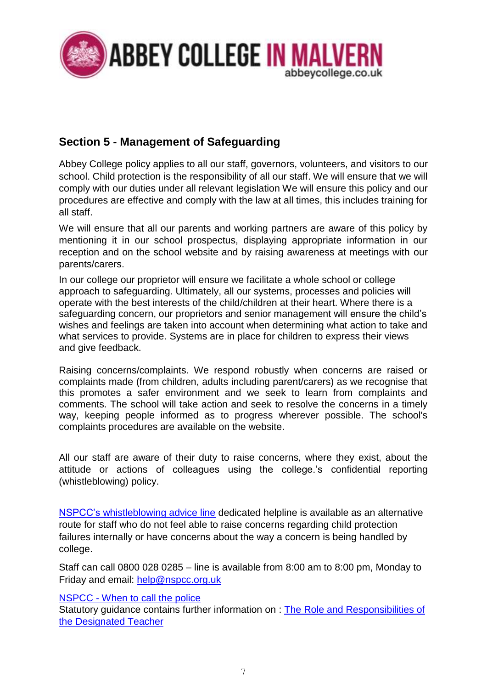

## **Section 5 - Management of Safeguarding**

Abbey College policy applies to all our staff, governors, volunteers, and visitors to our school. Child protection is the responsibility of all our staff. We will ensure that we will comply with our duties under all relevant legislation We will ensure this policy and our procedures are effective and comply with the law at all times, this includes training for all staff.

We will ensure that all our parents and working partners are aware of this policy by mentioning it in our school prospectus, displaying appropriate information in our reception and on the school website and by raising awareness at meetings with our parents/carers.

In our college our proprietor will ensure we facilitate a whole school or college approach to safeguarding. Ultimately, all our systems, processes and policies will operate with the best interests of the child/children at their heart. Where there is a safeguarding concern, our proprietors and senior management will ensure the child's wishes and feelings are taken into account when determining what action to take and what services to provide. Systems are in place for children to express their views and give feedback.

Raising concerns/complaints. We respond robustly when concerns are raised or complaints made (from children, adults including parent/carers) as we recognise that this promotes a safer environment and we seek to learn from complaints and comments. The school will take action and seek to resolve the concerns in a timely way, keeping people informed as to progress wherever possible. The school's complaints procedures are available on the website.

All our staff are aware of their duty to raise concerns, where they exist, about the attitude or actions of colleagues using the college.'s confidential reporting (whistleblowing) policy.

[NSPCC's whistleblowing advice line](https://www.nspcc.org.uk/keeping-children-safe/reporting-abuse/dedicated-helplines/whistleblowing-advice-line/) dedicated helpline is available as an alternative route for staff who do not feel able to raise concerns regarding child protection failures internally or have concerns about the way a concern is being handled by college.

Staff can call 0800 028 0285 – line is available from 8:00 am to 8:00 pm, Monday to Friday and email: [help@nspcc.org.uk](mailto:help@nspcc.org.uk)

### NSPCC - [When to call the police](https://www.npcc.police.uk/documents/Children%20and%20Young%20people/When%20to%20call%20the%20police%20guidance%20for%20schools%20and%20colleges.pdf)

Statutory guidance contains further information on : [The Role and Responsibilities of](https://www.gov.uk/government/publications/designated-teacher-for-looked-after-children) [the Designated Teacher](https://www.gov.uk/government/publications/designated-teacher-for-looked-after-children)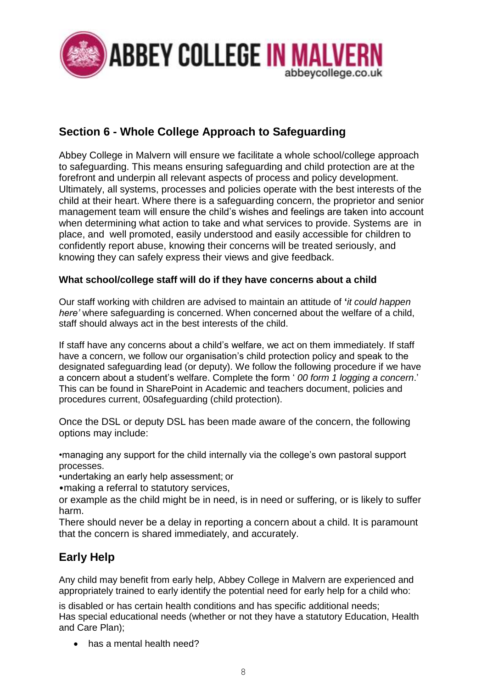

## **Section 6 - Whole College Approach to Safeguarding**

Abbey College in Malvern will ensure we facilitate a whole school/college approach to safeguarding. This means ensuring safeguarding and child protection are at the forefront and underpin all relevant aspects of process and policy development. Ultimately, all systems, processes and policies operate with the best interests of the child at their heart. Where there is a safeguarding concern, the proprietor and senior management team will ensure the child's wishes and feelings are taken into account when determining what action to take and what services to provide. Systems are in place, and well promoted, easily understood and easily accessible for children to confidently report abuse, knowing their concerns will be treated seriously, and knowing they can safely express their views and give feedback.

### **What school/college staff will do if they have concerns about a child**

Our staff working with children are advised to maintain an attitude of **'***it could happen here'* where safeguarding is concerned. When concerned about the welfare of a child, staff should always act in the best interests of the child.

If staff have any concerns about a child's welfare, we act on them immediately. If staff have a concern, we follow our organisation's child protection policy and speak to the designated safeguarding lead (or deputy). We follow the following procedure if we have a concern about a student's welfare. Complete the form ' *00 form 1 logging a concern*.' This can be found in SharePoint in Academic and teachers document, policies and procedures current, 00safeguarding (child protection).

Once the DSL or deputy DSL has been made aware of the concern, the following options may include:

•managing any support for the child internally via the college's own pastoral support processes.

•undertaking an early help assessment; or

•making a referral to statutory services,

or example as the child might be in need, is in need or suffering, or is likely to suffer harm.

There should never be a delay in reporting a concern about a child. It is paramount that the concern is shared immediately, and accurately.

## **Early Help**

Any child may benefit from early help, Abbey College in Malvern are experienced and appropriately trained to early identify the potential need for early help for a child who:

is disabled or has certain health conditions and has specific additional needs; Has special educational needs (whether or not they have a statutory Education, Health and Care Plan);

• has a mental health need?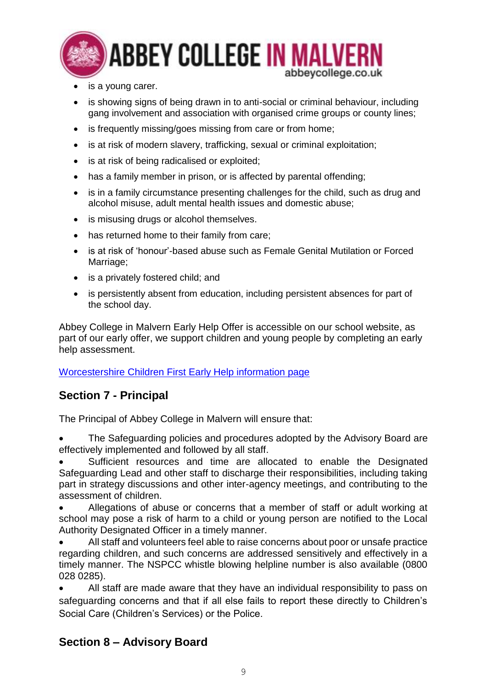

- is a young carer.
- is showing signs of being drawn in to anti-social or criminal behaviour, including gang involvement and association with organised crime groups or county lines;
- is frequently missing/goes missing from care or from home;
- is at risk of modern slavery, trafficking, sexual or criminal exploitation;
- is at risk of being radicalised or exploited:
- has a family member in prison, or is affected by parental offending:
- is in a family circumstance presenting challenges for the child, such as drug and alcohol misuse, adult mental health issues and domestic abuse;
- is misusing drugs or alcohol themselves.
- has returned home to their family from care;
- is at risk of 'honour'-based abuse such as Female Genital Mutilation or Forced Marriage:
- is a privately fostered child; and
- is persistently absent from education, including persistent absences for part of the school day.

Abbey College in Malvern Early Help Offer is accessible on our school website, as part of our early offer, we support children and young people by completing an early help assessment.

[Worcestershire Children First Early Help information page](https://www.worcestershire.gov.uk/earlyhelpfamilysupport)

## **Section 7 - Principal**

The Principal of Abbey College in Malvern will ensure that:

• The Safeguarding policies and procedures adopted by the Advisory Board are effectively implemented and followed by all staff.

• Sufficient resources and time are allocated to enable the Designated Safeguarding Lead and other staff to discharge their responsibilities, including taking part in strategy discussions and other inter-agency meetings, and contributing to the assessment of children.

• Allegations of abuse or concerns that a member of staff or adult working at school may pose a risk of harm to a child or young person are notified to the Local Authority Designated Officer in a timely manner.

• All staff and volunteers feel able to raise concerns about poor or unsafe practice regarding children, and such concerns are addressed sensitively and effectively in a timely manner. The NSPCC whistle blowing helpline number is also available (0800 028 0285).

• All staff are made aware that they have an individual responsibility to pass on safeguarding concerns and that if all else fails to report these directly to Children's Social Care (Children's Services) or the Police.

## **Section 8 – Advisory Board**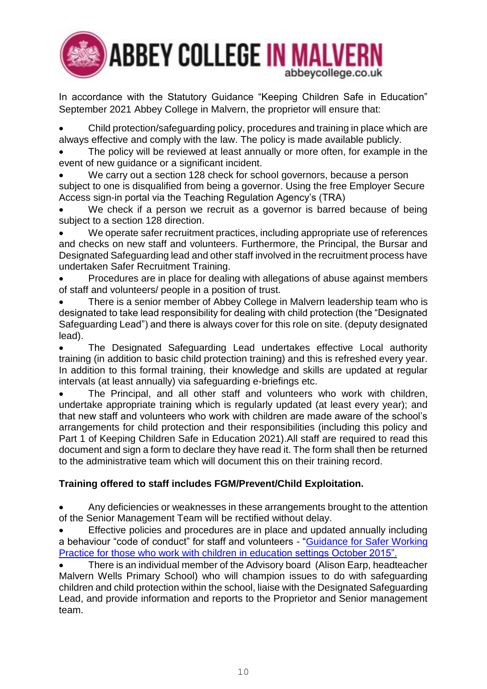

In accordance with the Statutory Guidance "Keeping Children Safe in Education" September 2021 Abbey College in Malvern, the proprietor will ensure that:

• Child protection/safeguarding policy, procedures and training in place which are always effective and comply with the law. The policy is made available publicly.

The policy will be reviewed at least annually or more often, for example in the event of new guidance or a significant incident.

We carry out a section 128 check for school governors, because a person subject to one is disqualified from being a governor. Using the free Employer Secure Access sign-in portal via the Teaching Regulation Agency's (TRA)

We check if a person we recruit as a governor is barred because of being subject to a section 128 direction.

We operate safer recruitment practices, including appropriate use of references and checks on new staff and volunteers. Furthermore, the Principal, the Bursar and Designated Safeguarding lead and other staff involved in the recruitment process have undertaken Safer Recruitment Training.

• Procedures are in place for dealing with allegations of abuse against members of staff and volunteers/ people in a position of trust.

• There is a senior member of Abbey College in Malvern leadership team who is designated to take lead responsibility for dealing with child protection (the "Designated Safeguarding Lead") and there is always cover for this role on site. (deputy designated lead).

• The Designated Safeguarding Lead undertakes effective Local authority training (in addition to basic child protection training) and this is refreshed every year. In addition to this formal training, their knowledge and skills are updated at regular intervals (at least annually) via safeguarding e-briefings etc.

The Principal, and all other staff and volunteers who work with children, undertake appropriate training which is regularly updated (at least every year); and that new staff and volunteers who work with children are made aware of the school's arrangements for child protection and their responsibilities (including this policy and Part 1 of Keeping Children Safe in Education 2021).All staff are required to read this document and sign a form to declare they have read it. The form shall then be returned to the administrative team which will document this on their training record.

### **Training offered to staff includes FGM/Prevent/Child Exploitation.**

• Any deficiencies or weaknesses in these arrangements brought to the attention of the Senior Management Team will be rectified without delay.

• Effective policies and procedures are in place and updated annually including a behaviour "code of conduct" for staff and volunteers - ["Guidance for Safer Working](https://www.safeguardinginschools.co.uk/wp-content/uploads/2015/10/Guidance-for-Safer-Working-Practices-2015-final1.pdf)  [Practice for those who work with children in education settings October 2015".](https://www.safeguardinginschools.co.uk/wp-content/uploads/2015/10/Guidance-for-Safer-Working-Practices-2015-final1.pdf)

• There is an individual member of the Advisory board (Alison Earp, headteacher Malvern Wells Primary School) who will champion issues to do with safeguarding children and child protection within the school, liaise with the Designated Safeguarding Lead, and provide information and reports to the Proprietor and Senior management team.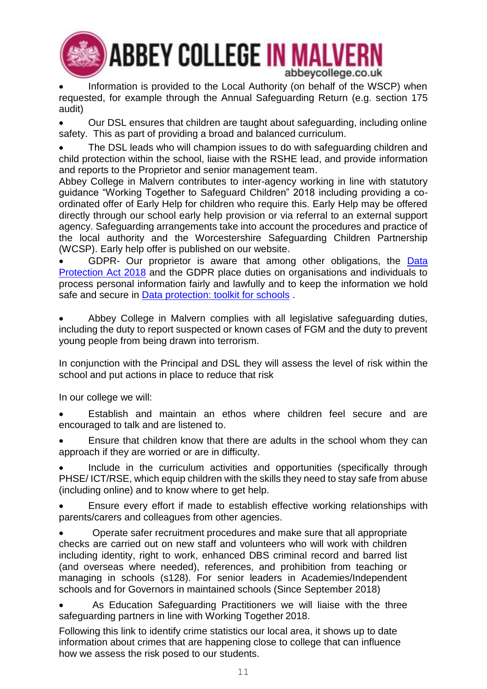

**ABBEY COLLEGE IN MALVERN** abbeycollege.co.uk

Information is provided to the Local Authority (on behalf of the WSCP) when requested, for example through the Annual Safeguarding Return (e.g. section 175 audit)

• Our DSL ensures that children are taught about safeguarding, including online safety. This as part of providing a broad and balanced curriculum.

• The DSL leads who will champion issues to do with safeguarding children and child protection within the school, liaise with the RSHE lead, and provide information and reports to the Proprietor and senior management team.

Abbey College in Malvern contributes to inter-agency working in line with statutory guidance "Working Together to Safeguard Children" 2018 including providing a coordinated offer of Early Help for children who require this. Early Help may be offered directly through our school early help provision or via referral to an external support agency. Safeguarding arrangements take into account the procedures and practice of the local authority and the Worcestershire Safeguarding Children Partnership (WCSP). Early help offer is published on our website.

GDPR- Our proprietor is aware that among other obligations, the Data [Protection Act 2018](https://www.gov.uk/data-protection) and the GDPR place duties on organisations and individuals to process personal information fairly and lawfully and to keep the information we hold safe and secure in [Data protection: toolkit for schools](file:///Z:/U161%20CHS/U695%20Education%20Safeguarding/G3%20SG/KCSIE/Data_Protection_Toolkit_for_Schools_OpenBeta.docx).

Abbey College in Malvern complies with all legislative safeguarding duties, including the duty to report suspected or known cases of FGM and the duty to prevent young people from being drawn into terrorism.

In conjunction with the Principal and DSL they will assess the level of risk within the school and put actions in place to reduce that risk

In our college we will:

Establish and maintain an ethos where children feel secure and are encouraged to talk and are listened to.

• Ensure that children know that there are adults in the school whom they can approach if they are worried or are in difficulty.

Include in the curriculum activities and opportunities (specifically through PHSE/ ICT/RSE, which equip children with the skills they need to stay safe from abuse (including online) and to know where to get help.

• Ensure every effort if made to establish effective working relationships with parents/carers and colleagues from other agencies.

• Operate safer recruitment procedures and make sure that all appropriate checks are carried out on new staff and volunteers who will work with children including identity, right to work, enhanced DBS criminal record and barred list (and overseas where needed), references, and prohibition from teaching or managing in schools (s128). For senior leaders in Academies/Independent schools and for Governors in maintained schools (Since September 2018)

• As Education Safeguarding Practitioners we will liaise with the three safeguarding partners in line with Working Together 2018.

Following this link to identify crime statistics our local area, it shows up to date information about crimes that are happening close to college that can influence how we assess the risk posed to our students.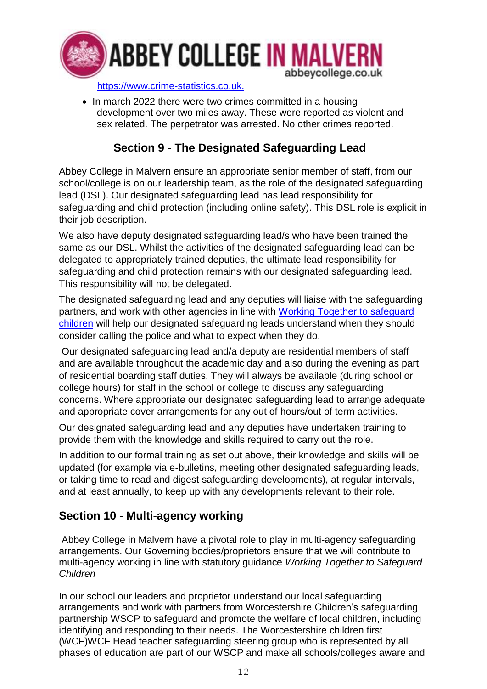

[https://www.crime-statistics.co.uk.](https://www.crime-statistics.co.uk/)

• In march 2022 there were two crimes committed in a housing development over two miles away. These were reported as violent and sex related. The perpetrator was arrested. No other crimes reported.

## **Section 9 - The Designated Safeguarding Lead**

Abbey College in Malvern ensure an appropriate senior member of staff, from our school/college is on our leadership team, as the role of the designated safeguarding lead (DSL). Our designated safeguarding lead has lead responsibility for safeguarding and child protection (including online safety). This DSL role is explicit in their job description.

We also have deputy designated safeguarding lead/s who have been trained the same as our DSL. Whilst the activities of the designated safeguarding lead can be delegated to appropriately trained deputies, the ultimate lead responsibility for safeguarding and child protection remains with our designated safeguarding lead. This responsibility will not be delegated.

The designated safeguarding lead and any deputies will liaise with the safeguarding partners, and work with other agencies in line with [Working Together to safeguard](https://www.gov.uk/government/publications/working-together-to-safeguard-children--2)  [children](https://www.gov.uk/government/publications/working-together-to-safeguard-children--2) will help our designated safeguarding leads understand when they should consider calling the police and what to expect when they do.

Our designated safeguarding lead and/a deputy are residential members of staff and are available throughout the academic day and also during the evening as part of residential boarding staff duties. They will always be available (during school or college hours) for staff in the school or college to discuss any safeguarding concerns. Where appropriate our designated safeguarding lead to arrange adequate and appropriate cover arrangements for any out of hours/out of term activities.

Our designated safeguarding lead and any deputies have undertaken training to provide them with the knowledge and skills required to carry out the role.

In addition to our formal training as set out above, their knowledge and skills will be updated (for example via e-bulletins, meeting other designated safeguarding leads, or taking time to read and digest safeguarding developments), at regular intervals, and at least annually, to keep up with any developments relevant to their role.

## **Section 10 - Multi-agency working**

Abbey College in Malvern have a pivotal role to play in multi-agency safeguarding arrangements. Our Governing bodies/proprietors ensure that we will contribute to multi-agency working in line with statutory guidance *Working Together to Safeguard Children*

In our school our leaders and proprietor understand our local safeguarding arrangements and work with partners from Worcestershire Children's safeguarding partnership WSCP to safeguard and promote the welfare of local children, including identifying and responding to their needs. The Worcestershire children first (WCF)WCF Head teacher safeguarding steering group who is represented by all phases of education are part of our WSCP and make all schools/colleges aware and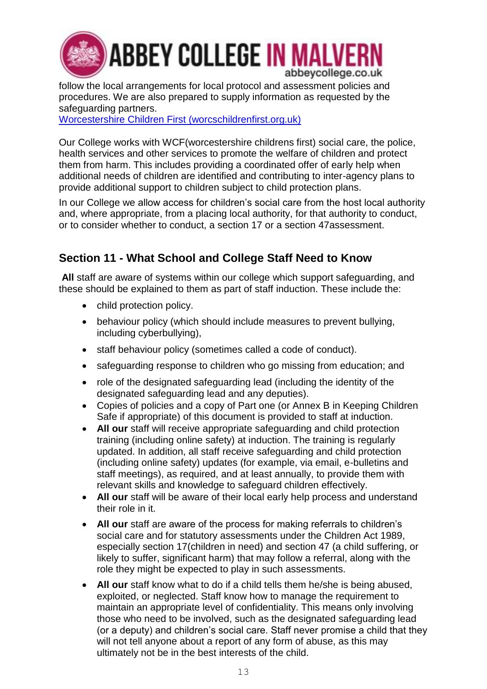

follow the local arrangements for local protocol and assessment policies and procedures. We are also prepared to supply information as requested by the safeguarding partners.

[Worcestershire Children First \(worcschildrenfirst.org.uk\)](http://www.worcschildrenfirst.org.uk/)

Our College works with WCF(worcestershire childrens first) social care, the police, health services and other services to promote the welfare of children and protect them from harm. This includes providing a coordinated offer of early help when additional needs of children are identified and contributing to inter-agency plans to provide additional support to children subject to child protection plans.

In our College we allow access for children's social care from the host local authority and, where appropriate, from a placing local authority, for that authority to conduct, or to consider whether to conduct, a section 17 or a section 47assessment.

## **Section 11 - What School and College Staff Need to Know**

**All** staff are aware of systems within our college which support safeguarding, and these should be explained to them as part of staff induction. These include the:

- child protection policy.
- behaviour policy (which should include measures to prevent bullying, including cyberbullying),
- staff behaviour policy (sometimes called a code of conduct).
- safeguarding response to children who go missing from education; and
- role of the designated safeguarding lead (including the identity of the designated safeguarding lead and any deputies).
- Copies of policies and a copy of Part one (or Annex B in Keeping Children Safe if appropriate) of this document is provided to staff at induction.
- **All our** staff will receive appropriate safeguarding and child protection training (including online safety) at induction. The training is regularly updated. In addition, all staff receive safeguarding and child protection (including online safety) updates (for example, via email, e-bulletins and staff meetings), as required, and at least annually, to provide them with relevant skills and knowledge to safeguard children effectively.
- **All our** staff will be aware of their local early help process and understand their role in it.
- **All our** staff are aware of the process for making referrals to children's social care and for statutory assessments under the Children Act 1989, especially section 17(children in need) and section 47 (a child suffering, or likely to suffer, significant harm) that may follow a referral, along with the role they might be expected to play in such assessments.
- **All our** staff know what to do if a child tells them he/she is being abused, exploited, or neglected. Staff know how to manage the requirement to maintain an appropriate level of confidentiality. This means only involving those who need to be involved, such as the designated safeguarding lead (or a deputy) and children's social care. Staff never promise a child that they will not tell anyone about a report of any form of abuse, as this may ultimately not be in the best interests of the child.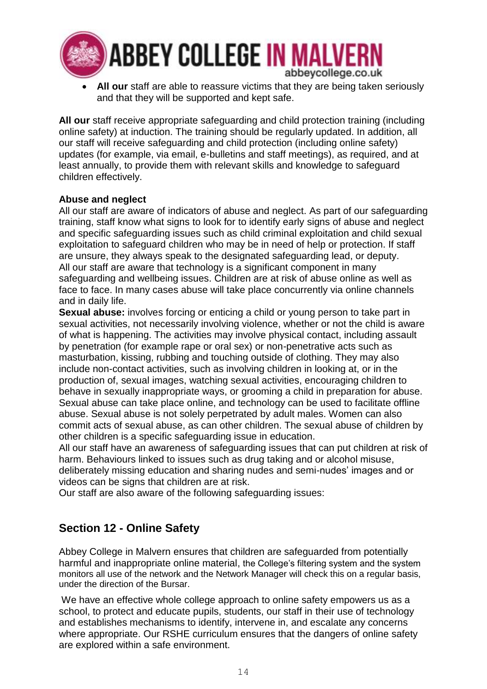

• **All our** staff are able to reassure victims that they are being taken seriously and that they will be supported and kept safe.

**All our** staff receive appropriate safeguarding and child protection training (including online safety) at induction. The training should be regularly updated. In addition, all our staff will receive safeguarding and child protection (including online safety) updates (for example, via email, e-bulletins and staff meetings), as required, and at least annually, to provide them with relevant skills and knowledge to safeguard children effectively.

### **Abuse and neglect**

All our staff are aware of indicators of abuse and neglect. As part of our safeguarding training, staff know what signs to look for to identify early signs of abuse and neglect and specific safeguarding issues such as child criminal exploitation and child sexual exploitation to safeguard children who may be in need of help or protection. If staff are unsure, they always speak to the designated safeguarding lead, or deputy. All our staff are aware that technology is a significant component in many safeguarding and wellbeing issues. Children are at risk of abuse online as well as face to face. In many cases abuse will take place concurrently via online channels and in daily life.

**Sexual abuse:** involves forcing or enticing a child or young person to take part in sexual activities, not necessarily involving violence, whether or not the child is aware of what is happening. The activities may involve physical contact, including assault by penetration (for example rape or oral sex) or non-penetrative acts such as masturbation, kissing, rubbing and touching outside of clothing. They may also include non-contact activities, such as involving children in looking at, or in the production of, sexual images, watching sexual activities, encouraging children to behave in sexually inappropriate ways, or grooming a child in preparation for abuse. Sexual abuse can take place online, and technology can be used to facilitate offline abuse. Sexual abuse is not solely perpetrated by adult males. Women can also commit acts of sexual abuse, as can other children. The sexual abuse of children by other children is a specific safeguarding issue in education.

All our staff have an awareness of safeguarding issues that can put children at risk of harm. Behaviours linked to issues such as drug taking and or alcohol misuse, deliberately missing education and sharing nudes and semi-nudes' images and or videos can be signs that children are at risk.

Our staff are also aware of the following safeguarding issues:

## **Section 12 - Online Safety**

Abbey College in Malvern ensures that children are safeguarded from potentially harmful and inappropriate online material, the College's filtering system and the system monitors all use of the network and the Network Manager will check this on a regular basis, under the direction of the Bursar.

We have an effective whole college approach to online safety empowers us as a school, to protect and educate pupils, students, our staff in their use of technology and establishes mechanisms to identify, intervene in, and escalate any concerns where appropriate. Our RSHE curriculum ensures that the dangers of online safety are explored within a safe environment.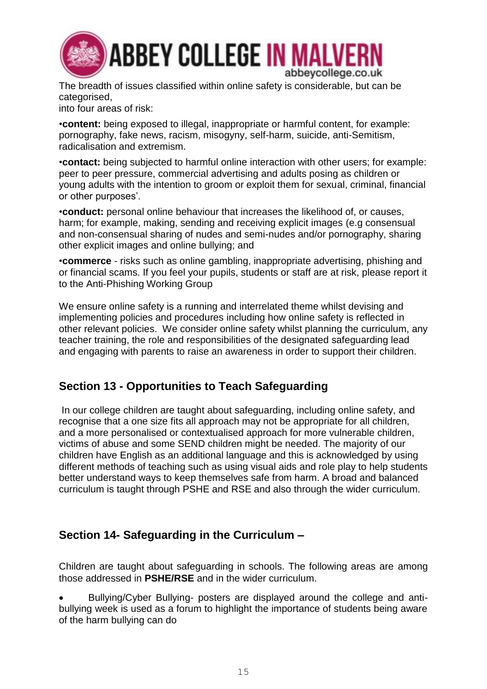

The breadth of issues classified within online safety is considerable, but can be categorised,

into four areas of risk:

•**content:** being exposed to illegal, inappropriate or harmful content, for example: pornography, fake news, racism, misogyny, self-harm, suicide, anti-Semitism, radicalisation and extremism.

•**contact:** being subjected to harmful online interaction with other users; for example: peer to peer pressure, commercial advertising and adults posing as children or young adults with the intention to groom or exploit them for sexual, criminal, financial or other purposes'.

•**conduct:** personal online behaviour that increases the likelihood of, or causes, harm; for example, making, sending and receiving explicit images (e.g consensual and non-consensual sharing of nudes and semi-nudes and/or pornography, sharing other explicit images and online bullying; and

•**commerce** - risks such as online gambling, inappropriate advertising, phishing and or financial scams. If you feel your pupils, students or staff are at risk, please report it to the Anti-Phishing Working Group

We ensure online safety is a running and interrelated theme whilst devising and implementing policies and procedures including how online safety is reflected in other relevant policies. We consider online safety whilst planning the curriculum, any teacher training, the role and responsibilities of the designated safeguarding lead and engaging with parents to raise an awareness in order to support their children.

## **Section 13 - Opportunities to Teach Safeguarding**

In our college children are taught about safeguarding, including online safety, and recognise that a one size fits all approach may not be appropriate for all children, and a more personalised or contextualised approach for more vulnerable children, victims of abuse and some SEND children might be needed. The majority of our children have English as an additional language and this is acknowledged by using different methods of teaching such as using visual aids and role play to help students better understand ways to keep themselves safe from harm. A broad and balanced curriculum is taught through PSHE and RSE and also through the wider curriculum.

## **Section 14- Safeguarding in the Curriculum –**

Children are taught about safeguarding in schools. The following areas are among those addressed in **PSHE/RSE** and in the wider curriculum.

• Bullying/Cyber Bullying- posters are displayed around the college and antibullying week is used as a forum to highlight the importance of students being aware of the harm bullying can do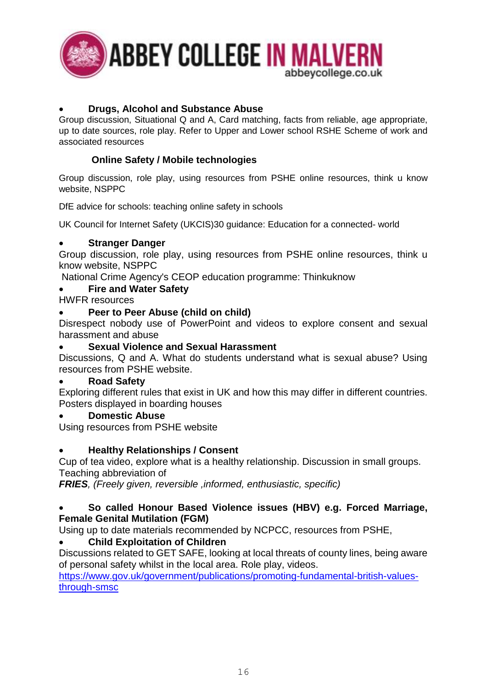

### • **Drugs, Alcohol and Substance Abuse**

Group discussion, Situational Q and A, Card matching, facts from reliable, age appropriate, up to date sources, role play. Refer to Upper and Lower school RSHE Scheme of work and associated resources

### **Online Safety / Mobile technologies**

Group discussion, role play, using resources from PSHE online resources, think u know website, NSPPC

DfE advice for schools: teaching online safety in schools

UK Council for Internet Safety (UKCIS)30 guidance: Education for a connected- world

### • **Stranger Danger**

Group discussion, role play, using resources from PSHE online resources, think u know website, NSPPC

National Crime Agency's CEOP education programme: Thinkuknow

### • **Fire and Water Safety**

HWFR resources

### • **Peer to Peer Abuse (child on child)**

Disrespect nobody use of PowerPoint and videos to explore consent and sexual harassment and abuse

### • **Sexual Violence and Sexual Harassment**

Discussions, Q and A. What do students understand what is sexual abuse? Using resources from PSHE website.

### • **Road Safety**

Exploring different rules that exist in UK and how this may differ in different countries. Posters displayed in boarding houses

### • **Domestic Abuse**

Using resources from PSHE website

### • **Healthy Relationships / Consent**

Cup of tea video, explore what is a healthy relationship. Discussion in small groups. Teaching abbreviation of

*FRIES, (Freely given, reversible ,informed, enthusiastic, specific)*

### • **So called Honour Based Violence issues (HBV) e.g. Forced Marriage, Female Genital Mutilation (FGM)**

Using up to date materials recommended by NCPCC, resources from PSHE,

### • **Child Exploitation of Children**

Discussions related to GET SAFE, looking at local threats of county lines, being aware of personal safety whilst in the local area. Role play, videos.

[https://www.gov.uk/government/publications/promoting-fundamental-british-values](https://www.gov.uk/government/publications/promoting-fundamental-british-values-through-smsc)[through-smsc](https://www.gov.uk/government/publications/promoting-fundamental-british-values-through-smsc)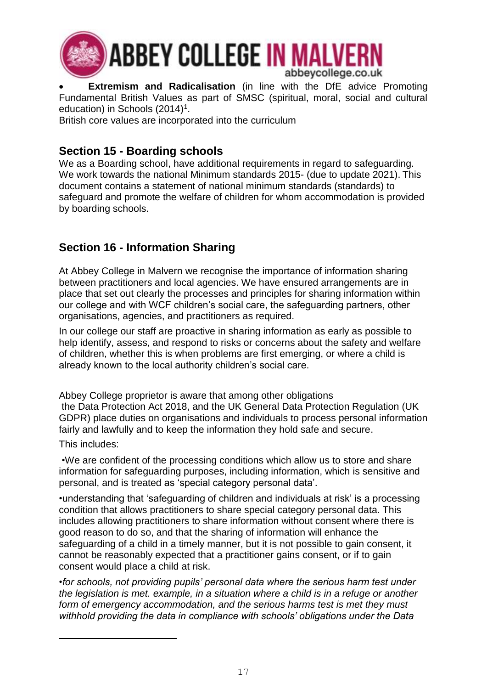

**Extremism and Radicalisation** (in line with the DfE advice Promoting Fundamental British Values as part of SMSC (spiritual, moral, social and cultural education) in Schools  $(2014)^1$ .

British core values are incorporated into the curriculum

## **Section 15 - Boarding schools**

We as a Boarding school, have additional requirements in regard to safeguarding. We work towards the national Minimum standards 2015- (due to update 2021). This document contains a statement of national minimum standards (standards) to safeguard and promote the welfare of children for whom accommodation is provided by boarding schools.

## **Section 16 - Information Sharing**

At Abbey College in Malvern we recognise the importance of information sharing between practitioners and local agencies. We have ensured arrangements are in place that set out clearly the processes and principles for sharing information within our college and with WCF children's social care, the safeguarding partners, other organisations, agencies, and practitioners as required.

In our college our staff are proactive in sharing information as early as possible to help identify, assess, and respond to risks or concerns about the safety and welfare of children, whether this is when problems are first emerging, or where a child is already known to the local authority children's social care.

Abbey College proprietor is aware that among other obligations the Data Protection Act 2018, and the UK General Data Protection Regulation (UK GDPR) place duties on organisations and individuals to process personal information fairly and lawfully and to keep the information they hold safe and secure.

This includes:

 $\overline{a}$ 

•We are confident of the processing conditions which allow us to store and share information for safeguarding purposes, including information, which is sensitive and personal, and is treated as 'special category personal data'.

•understanding that 'safeguarding of children and individuals at risk' is a processing condition that allows practitioners to share special category personal data. This includes allowing practitioners to share information without consent where there is good reason to do so, and that the sharing of information will enhance the safeguarding of a child in a timely manner, but it is not possible to gain consent, it cannot be reasonably expected that a practitioner gains consent, or if to gain consent would place a child at risk.

*•for schools, not providing pupils' personal data where the serious harm test under the legislation is met. example, in a situation where a child is in a refuge or another form of emergency accommodation, and the serious harms test is met they must withhold providing the data in compliance with schools' obligations under the Data*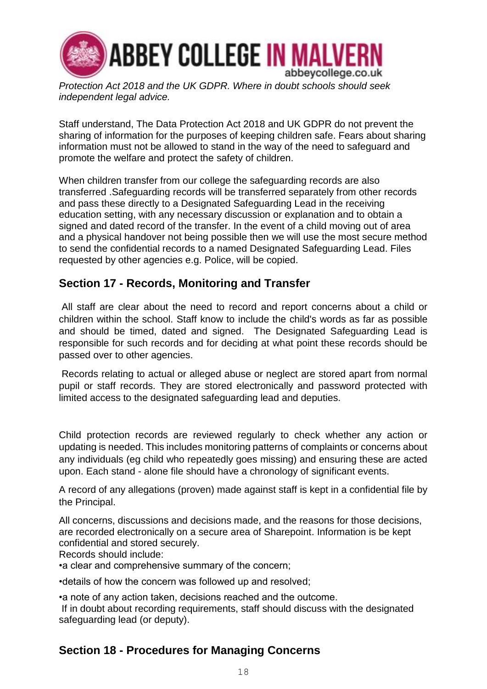

*Protection Act 2018 and the UK GDPR. Where in doubt schools should seek independent legal advice.*

Staff understand, The Data Protection Act 2018 and UK GDPR do not prevent the sharing of information for the purposes of keeping children safe. Fears about sharing information must not be allowed to stand in the way of the need to safeguard and promote the welfare and protect the safety of children.

When children transfer from our college the safeguarding records are also transferred .Safeguarding records will be transferred separately from other records and pass these directly to a Designated Safeguarding Lead in the receiving education setting, with any necessary discussion or explanation and to obtain a signed and dated record of the transfer. In the event of a child moving out of area and a physical handover not being possible then we will use the most secure method to send the confidential records to a named Designated Safeguarding Lead. Files requested by other agencies e.g. Police, will be copied.

## **Section 17 - Records, Monitoring and Transfer**

All staff are clear about the need to record and report concerns about a child or children within the school. Staff know to include the child's words as far as possible and should be timed, dated and signed. The Designated Safeguarding Lead is responsible for such records and for deciding at what point these records should be passed over to other agencies.

Records relating to actual or alleged abuse or neglect are stored apart from normal pupil or staff records. They are stored electronically and password protected with limited access to the designated safeguarding lead and deputies.

Child protection records are reviewed regularly to check whether any action or updating is needed. This includes monitoring patterns of complaints or concerns about any individuals (eg child who repeatedly goes missing) and ensuring these are acted upon. Each stand - alone file should have a chronology of significant events.

A record of any allegations (proven) made against staff is kept in a confidential file by the Principal.

All concerns, discussions and decisions made, and the reasons for those decisions, are recorded electronically on a secure area of Sharepoint. Information is be kept confidential and stored securely.

Records should include:

•a clear and comprehensive summary of the concern;

•details of how the concern was followed up and resolved;

•a note of any action taken, decisions reached and the outcome.

If in doubt about recording requirements, staff should discuss with the designated safeguarding lead (or deputy).

## **Section 18 - Procedures for Managing Concerns**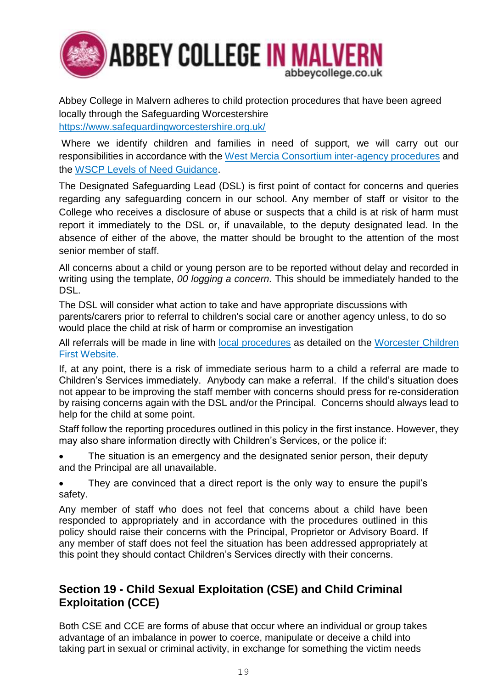

Abbey College in Malvern adheres to child protection procedures that have been agreed locally through the Safeguarding Worcestershire <https://www.safeguardingworcestershire.org.uk/>

Where we identify children and families in need of support, we will carry out our responsibilities in accordance with the [West Mercia Consortium inter-agency procedures](https://westmidlands.procedures.org.uk/) and the [WSCP Levels of Need Guidance.](http://www.worcestershire.gov.uk/downloads/file/7962/levels_of_need_guidance_formerly_threshold_guidance)

The Designated Safeguarding Lead (DSL) is first point of contact for concerns and queries regarding any safeguarding concern in our school. Any member of staff or visitor to the College who receives a disclosure of abuse or suspects that a child is at risk of harm must report it immediately to the DSL or, if unavailable, to the deputy designated lead. In the absence of either of the above, the matter should be brought to the attention of the most senior member of staff.

All concerns about a child or young person are to be reported without delay and recorded in writing using the template, *00 logging a concern.* This should be immediately handed to the DSL.

The DSL will consider what action to take and have appropriate discussions with parents/carers prior to referral to children's social care or another agency unless, to do so would place the child at risk of harm or compromise an investigation

All referrals will be made in line with [local procedures](https://westmidlands.procedures.org.uk/) as detailed on the [Worcester](http://www.worcschildrenfirst.org.uk/) Children [First Website.](http://www.worcschildrenfirst.org.uk/)

If, at any point, there is a risk of immediate serious harm to a child a referral are made to Children's Services immediately. Anybody can make a referral. If the child's situation does not appear to be improving the staff member with concerns should press for re-consideration by raising concerns again with the DSL and/or the Principal. Concerns should always lead to help for the child at some point.

Staff follow the reporting procedures outlined in this policy in the first instance. However, they may also share information directly with Children's Services, or the police if:

The situation is an emergency and the designated senior person, their deputy and the Principal are all unavailable.

• They are convinced that a direct report is the only way to ensure the pupil's safety.

Any member of staff who does not feel that concerns about a child have been responded to appropriately and in accordance with the procedures outlined in this policy should raise their concerns with the Principal, Proprietor or Advisory Board. If any member of staff does not feel the situation has been addressed appropriately at this point they should contact Children's Services directly with their concerns.

## **Section 19 - Child Sexual Exploitation (CSE) and Child Criminal Exploitation (CCE)**

Both CSE and CCE are forms of abuse that occur where an individual or group takes advantage of an imbalance in power to coerce, manipulate or deceive a child into taking part in sexual or criminal activity, in exchange for something the victim needs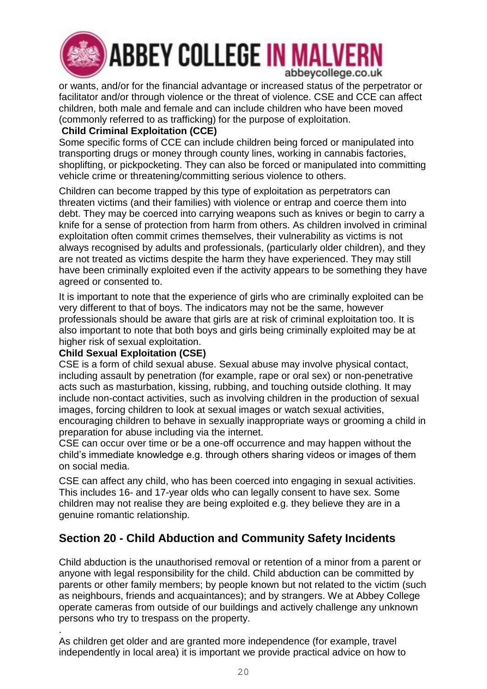

# **ABBEY COLLEGE IN MALVERN** abbeycollege.co.uk

or wants, and/or for the financial advantage or increased status of the perpetrator or facilitator and/or through violence or the threat of violence. CSE and CCE can affect children, both male and female and can include children who have been moved (commonly referred to as trafficking) for the purpose of exploitation.

### **Child Criminal Exploitation (CCE)**

Some specific forms of CCE can include children being forced or manipulated into transporting drugs or money through county lines, working in cannabis factories, shoplifting, or pickpocketing. They can also be forced or manipulated into committing vehicle crime or threatening/committing serious violence to others.

Children can become trapped by this type of exploitation as perpetrators can threaten victims (and their families) with violence or entrap and coerce them into debt. They may be coerced into carrying weapons such as knives or begin to carry a knife for a sense of protection from harm from others. As children involved in criminal exploitation often commit crimes themselves, their vulnerability as victims is not always recognised by adults and professionals, (particularly older children), and they are not treated as victims despite the harm they have experienced. They may still have been criminally exploited even if the activity appears to be something they have agreed or consented to.

It is important to note that the experience of girls who are criminally exploited can be very different to that of boys. The indicators may not be the same, however professionals should be aware that girls are at risk of criminal exploitation too. It is also important to note that both boys and girls being criminally exploited may be at higher risk of sexual exploitation.

### **Child Sexual Exploitation (CSE)**

CSE is a form of child sexual abuse. Sexual abuse may involve physical contact, including assault by penetration (for example, rape or oral sex) or non-penetrative acts such as masturbation, kissing, rubbing, and touching outside clothing. It may include non-contact activities, such as involving children in the production of sexual images, forcing children to look at sexual images or watch sexual activities, encouraging children to behave in sexually inappropriate ways or grooming a child in preparation for abuse including via the internet.

CSE can occur over time or be a one-off occurrence and may happen without the child's immediate knowledge e.g. through others sharing videos or images of them on social media.

CSE can affect any child, who has been coerced into engaging in sexual activities. This includes 16- and 17-year olds who can legally consent to have sex. Some children may not realise they are being exploited e.g. they believe they are in a genuine romantic relationship.

## **Section 20 - Child Abduction and Community Safety Incidents**

Child abduction is the unauthorised removal or retention of a minor from a parent or anyone with legal responsibility for the child. Child abduction can be committed by parents or other family members; by people known but not related to the victim (such as neighbours, friends and acquaintances); and by strangers. We at Abbey College operate cameras from outside of our buildings and actively challenge any unknown persons who try to trespass on the property.

. As children get older and are granted more independence (for example, travel independently in local area) it is important we provide practical advice on how to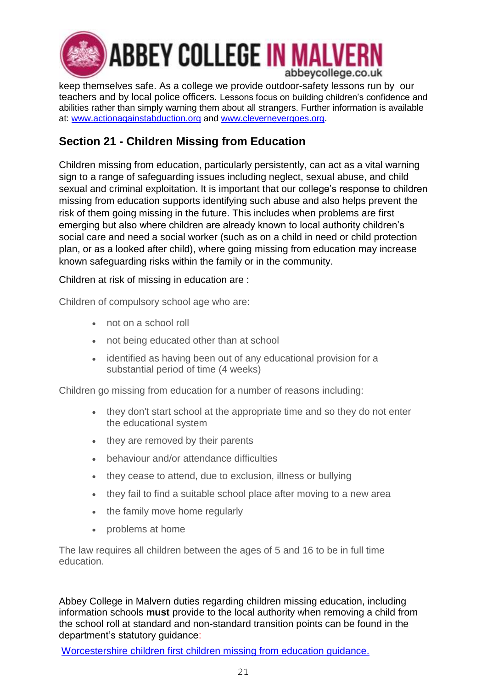

keep themselves safe. As a college we provide outdoor-safety lessons run by our teachers and by local police officers. Lessons focus on building children's confidence and abilities rather than simply warning them about all strangers. Further information is available at: [www.actionagainstabduction.org](file:///C:/Users/LButler/AppData/Local/Microsoft/Windows/INetCache/Content.Outlook/JMW7DBW1/www.actionagainstabduction.org) and [www.clevernevergoes.org.](http://www.clevernevergoes.org/)

## **Section 21 - Children Missing from Education**

Children missing from education, particularly persistently, can act as a vital warning sign to a range of safeguarding issues including neglect, sexual abuse, and child sexual and criminal exploitation. It is important that our college's response to children missing from education supports identifying such abuse and also helps prevent the risk of them going missing in the future. This includes when problems are first emerging but also where children are already known to local authority children's social care and need a social worker (such as on a child in need or child protection plan, or as a looked after child), where going missing from education may increase known safeguarding risks within the family or in the community.

Children at risk of missing in education are :

Children of compulsory school age who are:

- not on a school roll
- not being educated other than at school
- identified as having been out of any educational provision for a substantial period of time (4 weeks)

Children go missing from education for a number of reasons including:

- they don't start school at the appropriate time and so they do not enter the educational system
- they are removed by their parents
- behaviour and/or attendance difficulties
- they cease to attend, due to exclusion, illness or bullying
- they fail to find a suitable school place after moving to a new area
- the family move home regularly
- problems at home

The law requires all children between the ages of 5 and 16 to be in full time education.

Abbey College in Malvern duties regarding children missing education, including information schools **must** provide to the local authority when removing a child from the school roll at standard and non-standard transition points can be found in the department's statutory guidance:

[Worcestershire children first children missing from education guidance.](https://www.worcestershire.gov.uk/info/20595/behaviour_and_attendance/293/children_missing_education)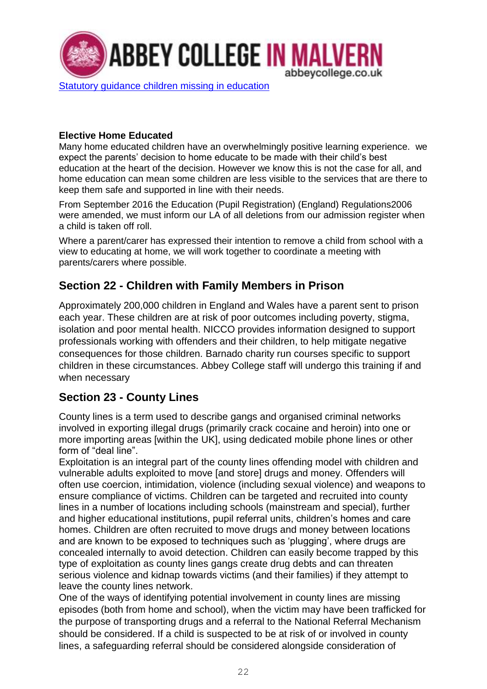

### **Elective Home Educated**

Many home educated children have an overwhelmingly positive learning experience. we expect the parents' decision to home educate to be made with their child's best education at the heart of the decision. However we know this is not the case for all, and home education can mean some children are less visible to the services that are there to keep them safe and supported in line with their needs.

From September 2016 the Education (Pupil Registration) (England) Regulations2006 were amended, we must inform our LA of all deletions from our admission register when a child is taken off roll.

Where a parent/carer has expressed their intention to remove a child from school with a view to educating at home, we will work together to coordinate a meeting with parents/carers where possible.

## **Section 22 - Children with Family Members in Prison**

Approximately 200,000 children in England and Wales have a parent sent to prison each year. These children are at risk of poor outcomes including poverty, stigma, isolation and poor mental health. NICCO provides information designed to support professionals working with offenders and their children, to help mitigate negative consequences for those children. Barnado charity run courses specific to support children in these circumstances. Abbey College staff will undergo this training if and when necessary

## **Section 23 - County Lines**

County lines is a term used to describe gangs and organised criminal networks involved in exporting illegal drugs (primarily crack cocaine and heroin) into one or more importing areas [within the UK], using dedicated mobile phone lines or other form of "deal line".

Exploitation is an integral part of the county lines offending model with children and vulnerable adults exploited to move [and store] drugs and money. Offenders will often use coercion, intimidation, violence (including sexual violence) and weapons to ensure compliance of victims. Children can be targeted and recruited into county lines in a number of locations including schools (mainstream and special), further and higher educational institutions, pupil referral units, children's homes and care homes. Children are often recruited to move drugs and money between locations and are known to be exposed to techniques such as 'plugging', where drugs are concealed internally to avoid detection. Children can easily become trapped by this type of exploitation as county lines gangs create drug debts and can threaten serious violence and kidnap towards victims (and their families) if they attempt to leave the county lines network.

One of the ways of identifying potential involvement in county lines are missing episodes (both from home and school), when the victim may have been trafficked for the purpose of transporting drugs and a referral to the National Referral Mechanism should be considered. If a child is suspected to be at risk of or involved in county lines, a safeguarding referral should be considered alongside consideration of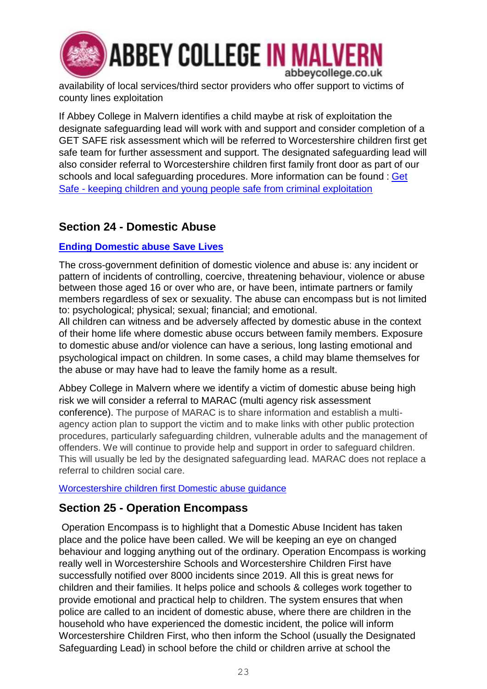

availability of local services/third sector providers who offer support to victims of county lines exploitation

If Abbey College in Malvern identifies a child maybe at risk of exploitation the designate safeguarding lead will work with and support and consider completion of a GET SAFE risk assessment which will be referred to Worcestershire children first get safe team for further assessment and support. The designated safeguarding lead will also consider referral to Worcestershire children first family front door as part of our schools and local safeguarding procedures. More information can be found : [Get](https://www.worcestershire.gov.uk/GetSafe)  Safe - [keeping children and young people safe from criminal exploitation](https://www.worcestershire.gov.uk/GetSafe)

## **Section 24 - Domestic Abuse**

### **[Ending Domestic abuse Save Lives](https://safelives.org.uk/)**

The cross-government definition of domestic violence and abuse is: any incident or pattern of incidents of controlling, coercive, threatening behaviour, violence or abuse between those aged 16 or over who are, or have been, intimate partners or family members regardless of sex or sexuality. The abuse can encompass but is not limited to: psychological; physical; sexual; financial; and emotional.

All children can witness and be adversely affected by domestic abuse in the context of their home life where domestic abuse occurs between family members. Exposure to domestic abuse and/or violence can have a serious, long lasting emotional and psychological impact on children. In some cases, a child may blame themselves for the abuse or may have had to leave the family home as a result.

Abbey College in Malvern where we identify a victim of domestic abuse being high risk we will consider a referral to MARAC (multi agency risk assessment conference). The purpose of MARAC is to share information and establish a multiagency action plan to support the victim and to make links with other public protection procedures, particularly safeguarding children, vulnerable adults and the management of offenders. We will continue to provide help and support in order to safeguard children. This will usually be led by the designated safeguarding lead. MARAC does not replace a referral to children social care.

### [Worcestershire children first Domestic abuse guidance](https://www.worcestershire.gov.uk/info/20379/domestic_abuse_and_sexual_violence/885/domestic_abuse)

## **Section 25 - Operation Encompass**

Operation Encompass is to highlight that a Domestic Abuse Incident has taken place and the police have been called. We will be keeping an eye on changed behaviour and logging anything out of the ordinary. Operation Encompass is working really well in Worcestershire Schools and Worcestershire Children First have successfully notified over 8000 incidents since 2019. All this is great news for children and their families. It helps police and schools & colleges work together to provide emotional and practical help to children. The system ensures that when police are called to an incident of domestic abuse, where there are children in the household who have experienced the domestic incident, the police will inform Worcestershire Children First, who then inform the School (usually the Designated Safeguarding Lead) in school before the child or children arrive at school the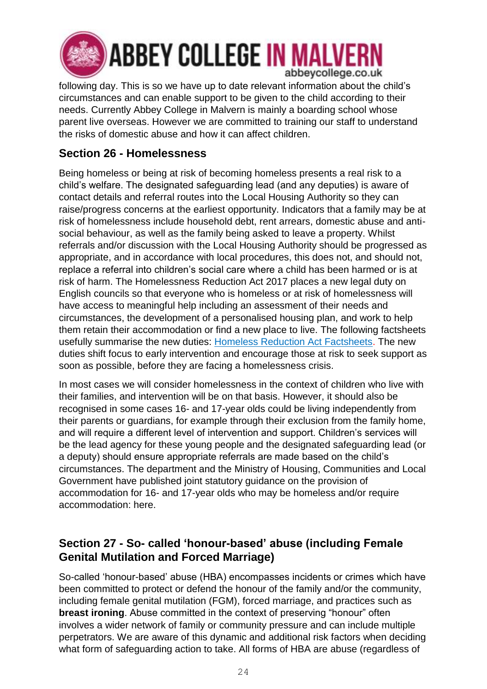

**ABBEY COLLEGE IN MALVERN** abbeycollege.co.uk

following day. This is so we have up to date relevant information about the child's circumstances and can enable support to be given to the child according to their needs. Currently Abbey College in Malvern is mainly a boarding school whose parent live overseas. However we are committed to training our staff to understand the risks of domestic abuse and how it can affect children.

## **Section 26 - Homelessness**

Being homeless or being at risk of becoming homeless presents a real risk to a child's welfare. The designated safeguarding lead (and any deputies) is aware of contact details and referral routes into the Local Housing Authority so they can raise/progress concerns at the earliest opportunity. Indicators that a family may be at risk of homelessness include household debt, rent arrears, domestic abuse and antisocial behaviour, as well as the family being asked to leave a property. Whilst referrals and/or discussion with the Local Housing Authority should be progressed as appropriate, and in accordance with local procedures, this does not, and should not, replace a referral into children's social care where a child has been harmed or is at risk of harm. The Homelessness Reduction Act 2017 places a new legal duty on English councils so that everyone who is homeless or at risk of homelessness will have access to meaningful help including an assessment of their needs and circumstances, the development of a personalised housing plan, and work to help them retain their accommodation or find a new place to live. The following factsheets usefully summarise the new duties: [Homeless Reduction Act Factsheets.](https://www.gov.uk/government/publications/homelessness-reduction-bill-policy-factsheets) The new duties shift focus to early intervention and encourage those at risk to seek support as soon as possible, before they are facing a homelessness crisis.

In most cases we will consider homelessness in the context of children who live with their families, and intervention will be on that basis. However, it should also be recognised in some cases 16- and 17-year olds could be living independently from their parents or guardians, for example through their exclusion from the family home, and will require a different level of intervention and support. Children's services will be the lead agency for these young people and the designated safeguarding lead (or a deputy) should ensure appropriate referrals are made based on the child's circumstances. The department and the Ministry of Housing, Communities and Local Government have published joint statutory guidance on the provision of accommodation for 16- and 17-year olds who may be homeless and/or require accommodation: here.

## **Section 27 - So- called 'honour-based' abuse (including Female Genital Mutilation and Forced Marriage)**

So-called 'honour-based' abuse (HBA) encompasses incidents or crimes which have been committed to protect or defend the honour of the family and/or the community, including female genital mutilation (FGM), forced marriage, and practices such as **breast ironing**. Abuse committed in the context of preserving "honour" often involves a wider network of family or community pressure and can include multiple perpetrators. We are aware of this dynamic and additional risk factors when deciding what form of safeguarding action to take. All forms of HBA are abuse (regardless of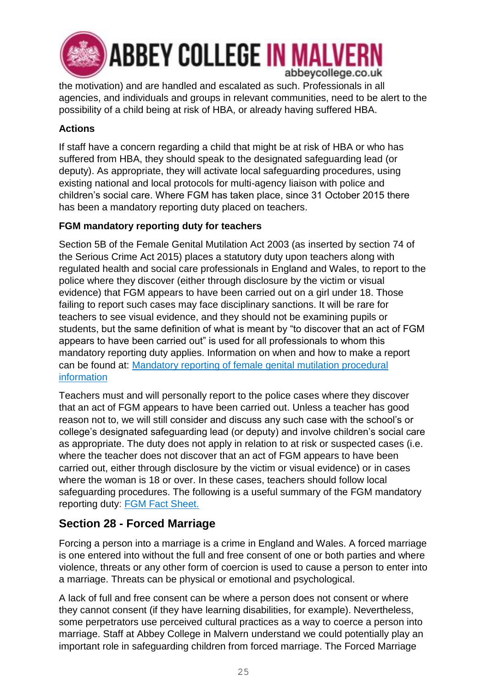

the motivation) and are handled and escalated as such. Professionals in all agencies, and individuals and groups in relevant communities, need to be alert to the possibility of a child being at risk of HBA, or already having suffered HBA.

### **Actions**

If staff have a concern regarding a child that might be at risk of HBA or who has suffered from HBA, they should speak to the designated safeguarding lead (or deputy). As appropriate, they will activate local safeguarding procedures, using existing national and local protocols for multi-agency liaison with police and children's social care. Where FGM has taken place, since 31 October 2015 there has been a mandatory reporting duty placed on teachers.

### **FGM mandatory reporting duty for teachers**

Section 5B of the Female Genital Mutilation Act 2003 (as inserted by section 74 of the Serious Crime Act 2015) places a statutory duty upon teachers along with regulated health and social care professionals in England and Wales, to report to the police where they discover (either through disclosure by the victim or visual evidence) that FGM appears to have been carried out on a girl under 18. Those failing to report such cases may face disciplinary sanctions. It will be rare for teachers to see visual evidence, and they should not be examining pupils or students, but the same definition of what is meant by "to discover that an act of FGM appears to have been carried out" is used for all professionals to whom this mandatory reporting duty applies. Information on when and how to make a report can be found at: [Mandatory reporting of female genital mutilation procedural](https://www.gov.uk/government/publications/mandatory-reporting-of-female-genital-mutilation-procedural-information)  [information](https://www.gov.uk/government/publications/mandatory-reporting-of-female-genital-mutilation-procedural-information)

Teachers must and will personally report to the police cases where they discover that an act of FGM appears to have been carried out. Unless a teacher has good reason not to, we will still consider and discuss any such case with the school's or college's designated safeguarding lead (or deputy) and involve children's social care as appropriate. The duty does not apply in relation to at risk or suspected cases (i.e. where the teacher does not discover that an act of FGM appears to have been carried out, either through disclosure by the victim or visual evidence) or in cases where the woman is 18 or over. In these cases, teachers should follow local safeguarding procedures. The following is a useful summary of the FGM mandatory reporting duty: [FGM Fact Sheet.](https://assets.publishing.service.gov.uk/government/uploads/system/uploads/attachment_data/file/496415/6_1639_HO_SP_FGM_mandatory_reporting_Fact_sheet_Web.pdf)

## **Section 28 - Forced Marriage**

Forcing a person into a marriage is a crime in England and Wales. A forced marriage is one entered into without the full and free consent of one or both parties and where violence, threats or any other form of coercion is used to cause a person to enter into a marriage. Threats can be physical or emotional and psychological.

A lack of full and free consent can be where a person does not consent or where they cannot consent (if they have learning disabilities, for example). Nevertheless, some perpetrators use perceived cultural practices as a way to coerce a person into marriage. Staff at Abbey College in Malvern understand we could potentially play an important role in safeguarding children from forced marriage. The Forced Marriage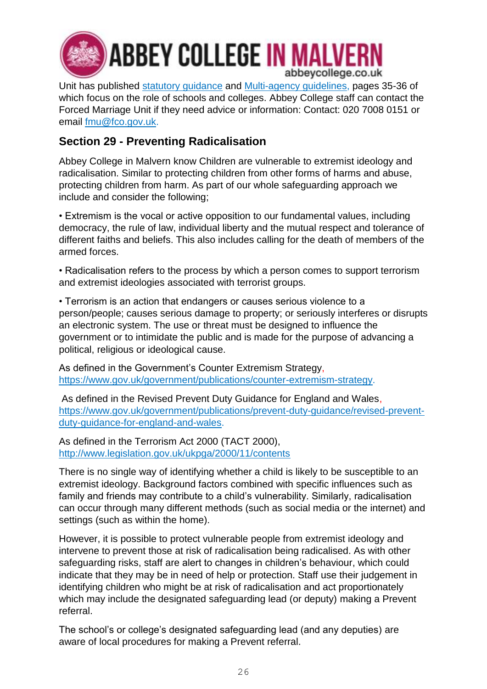

**ABBEY COLLEGE IN MALVERN** abbeycollege.co.uk

Unit has published [statutory guidance](https://www.gov.uk/guidance/forced-marriage) and [Multi-agency guidelines,](https://assets.publishing.service.gov.uk/government/uploads/system/uploads/attachment_data/file/322307/HMG_MULTI_AGENCY_PRACTICE_GUIDELINES_v1_180614_FINAL.pdf) pages 35-36 of which focus on the role of schools and colleges. Abbey College staff can contact the Forced Marriage Unit if they need advice or information: Contact: 020 7008 0151 or email [fmu@fco.gov.uk.](mailto:fmu@fco.gov.uk)

## **Section 29 - Preventing Radicalisation**

Abbey College in Malvern know Children are vulnerable to extremist ideology and radicalisation. Similar to protecting children from other forms of harms and abuse, protecting children from harm. As part of our whole safeguarding approach we include and consider the following;

• Extremism is the vocal or active opposition to our fundamental values, including democracy, the rule of law, individual liberty and the mutual respect and tolerance of different faiths and beliefs. This also includes calling for the death of members of the armed forces.

• Radicalisation refers to the process by which a person comes to support terrorism and extremist ideologies associated with terrorist groups.

• Terrorism is an action that endangers or causes serious violence to a person/people; causes serious damage to property; or seriously interferes or disrupts an electronic system. The use or threat must be designed to influence the government or to intimidate the public and is made for the purpose of advancing a political, religious or ideological cause.

As defined in the Government's Counter Extremism Strategy, [https://www.gov.uk/government/publications/counter-extremism-strategy.](https://www.gov.uk/government/publications/counter-extremism-strategy)

As defined in the Revised Prevent Duty Guidance for England and Wales, [https://www.gov.uk/government/publications/prevent-duty-guidance/revised-prevent](https://www.gov.uk/government/publications/prevent-duty-guidance/revised-prevent-duty-guidance-for-england-and-wales)[duty-guidance-for-england-and-wales.](https://www.gov.uk/government/publications/prevent-duty-guidance/revised-prevent-duty-guidance-for-england-and-wales)

As defined in the Terrorism Act 2000 (TACT 2000), <http://www.legislation.gov.uk/ukpga/2000/11/contents>

There is no single way of identifying whether a child is likely to be susceptible to an extremist ideology. Background factors combined with specific influences such as family and friends may contribute to a child's vulnerability. Similarly, radicalisation can occur through many different methods (such as social media or the internet) and settings (such as within the home).

However, it is possible to protect vulnerable people from extremist ideology and intervene to prevent those at risk of radicalisation being radicalised. As with other safeguarding risks, staff are alert to changes in children's behaviour, which could indicate that they may be in need of help or protection. Staff use their judgement in identifying children who might be at risk of radicalisation and act proportionately which may include the designated safeguarding lead (or deputy) making a Prevent referral.

The school's or college's designated safeguarding lead (and any deputies) are aware of local procedures for making a Prevent referral.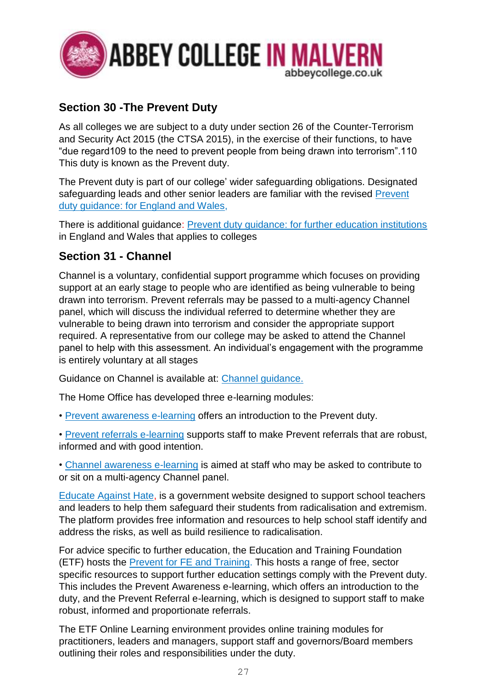

## **Section 30 -The Prevent Duty**

As all colleges we are subject to a duty under section 26 of the Counter-Terrorism and Security Act 2015 (the CTSA 2015), in the exercise of their functions, to have "due regard109 to the need to prevent people from being drawn into terrorism".110 This duty is known as the Prevent duty.

The Prevent duty is part of our college' wider safeguarding obligations. Designated safeguarding leads and other senior leaders are familiar with the revised Prevent duty guidance: for England and Wales.

There is additional guidance: [Prevent duty guidance: for further education institutions](https://www.gov.uk/government/publications/prevent-duty-guidance/prevent-duty-guidance-for-further-education-institutions-in-england-and-wales) in England and Wales that applies to colleges

## **Section 31 - Channel**

Channel is a voluntary, confidential support programme which focuses on providing support at an early stage to people who are identified as being vulnerable to being drawn into terrorism. Prevent referrals may be passed to a multi-agency Channel panel, which will discuss the individual referred to determine whether they are vulnerable to being drawn into terrorism and consider the appropriate support required. A representative from our college may be asked to attend the Channel panel to help with this assessment. An individual's engagement with the programme is entirely voluntary at all stages

Guidance on Channel is available at: [Channel guidance.](https://www.gov.uk/government/publications/channel-guidance)

The Home Office has developed three e-learning modules:

- • [Prevent awareness e-learning](https://www.gov.uk/government/publications/protecting-children-from-radicalisation-the-prevent-duty) offers an introduction to the Prevent duty.
- • [Prevent referrals e-learning](https://www.elearning.prevent.homeoffice.gov.uk/prevent_referrals/01-welcome.html) supports staff to make Prevent referrals that are robust, informed and with good intention.

• [Channel awareness e-learning](https://www.elearning.prevent.homeoffice.gov.uk/channel_awareness/01-welcome.html) is aimed at staff who may be asked to contribute to or sit on a multi-agency Channel panel.

[Educate Against Hate,](https://educateagainsthate.com/) is a government website designed to support school teachers and leaders to help them safeguard their students from radicalisation and extremism. The platform provides free information and resources to help school staff identify and address the risks, as well as build resilience to radicalisation.

For advice specific to further education, the Education and Training Foundation (ETF) hosts the [Prevent for FE and Training.](https://preventforfeandtraining.org.uk/) This hosts a range of free, sector specific resources to support further education settings comply with the Prevent duty. This includes the Prevent Awareness e-learning, which offers an introduction to the duty, and the Prevent Referral e-learning, which is designed to support staff to make robust, informed and proportionate referrals.

The ETF Online Learning environment provides online training modules for practitioners, leaders and managers, support staff and governors/Board members outlining their roles and responsibilities under the duty.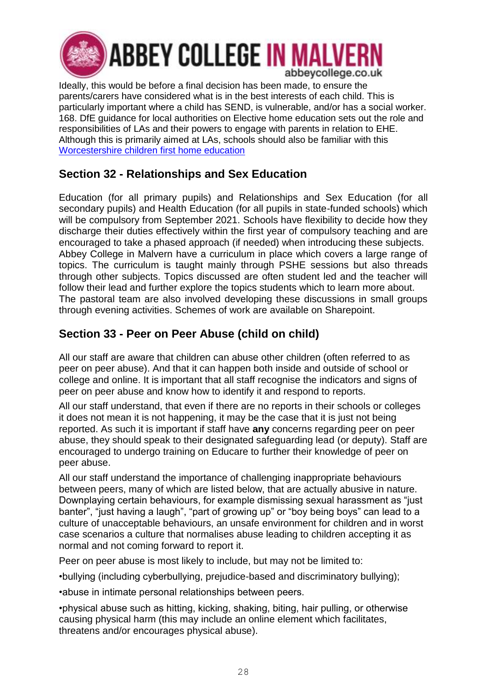

Ideally, this would be before a final decision has been made, to ensure the parents/carers have considered what is in the best interests of each child. This is particularly important where a child has SEND, is vulnerable, and/or has a social worker. 168. DfE guidance for local authorities on Elective home education sets out the role and responsibilities of LAs and their powers to engage with parents in relation to EHE. Although this is primarily aimed at LAs, schools should also be familiar with this [Worcestershire children first home education](https://www.worcestershire.gov.uk/info/20062/schools/253/home_education)

## **Section 32 - Relationships and Sex Education**

Education (for all primary pupils) and Relationships and Sex Education (for all secondary pupils) and Health Education (for all pupils in state-funded schools) which will be compulsory from September 2021. Schools have flexibility to decide how they discharge their duties effectively within the first year of compulsory teaching and are encouraged to take a phased approach (if needed) when introducing these subjects. Abbey College in Malvern have a curriculum in place which covers a large range of topics. The curriculum is taught mainly through PSHE sessions but also threads through other subjects. Topics discussed are often student led and the teacher will follow their lead and further explore the topics students which to learn more about. The pastoral team are also involved developing these discussions in small groups through evening activities. Schemes of work are available on Sharepoint.

## **Section 33 - Peer on Peer Abuse (child on child)**

All our staff are aware that children can abuse other children (often referred to as peer on peer abuse). And that it can happen both inside and outside of school or college and online. It is important that all staff recognise the indicators and signs of peer on peer abuse and know how to identify it and respond to reports.

All our staff understand, that even if there are no reports in their schools or colleges it does not mean it is not happening, it may be the case that it is just not being reported. As such it is important if staff have **any** concerns regarding peer on peer abuse, they should speak to their designated safeguarding lead (or deputy). Staff are encouraged to undergo training on Educare to further their knowledge of peer on peer abuse.

All our staff understand the importance of challenging inappropriate behaviours between peers, many of which are listed below, that are actually abusive in nature. Downplaying certain behaviours, for example dismissing sexual harassment as "just banter", "just having a laugh", "part of growing up" or "boy being boys" can lead to a culture of unacceptable behaviours, an unsafe environment for children and in worst case scenarios a culture that normalises abuse leading to children accepting it as normal and not coming forward to report it.

Peer on peer abuse is most likely to include, but may not be limited to:

•bullying (including cyberbullying, prejudice-based and discriminatory bullying);

•abuse in intimate personal relationships between peers.

•physical abuse such as hitting, kicking, shaking, biting, hair pulling, or otherwise causing physical harm (this may include an online element which facilitates, threatens and/or encourages physical abuse).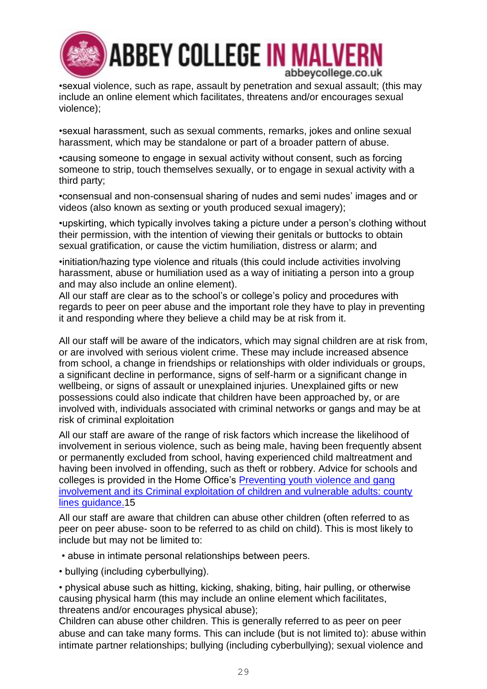

•sexual violence, such as rape, assault by penetration and sexual assault; (this may include an online element which facilitates, threatens and/or encourages sexual violence);

•sexual harassment, such as sexual comments, remarks, jokes and online sexual harassment, which may be standalone or part of a broader pattern of abuse.

•causing someone to engage in sexual activity without consent, such as forcing someone to strip, touch themselves sexually, or to engage in sexual activity with a third party;

•consensual and non-consensual sharing of nudes and semi nudes' images and or videos (also known as sexting or youth produced sexual imagery);

•upskirting, which typically involves taking a picture under a person's clothing without their permission, with the intention of viewing their genitals or buttocks to obtain sexual gratification, or cause the victim humiliation, distress or alarm; and

•initiation/hazing type violence and rituals (this could include activities involving harassment, abuse or humiliation used as a way of initiating a person into a group and may also include an online element).

All our staff are clear as to the school's or college's policy and procedures with regards to peer on peer abuse and the important role they have to play in preventing it and responding where they believe a child may be at risk from it.

All our staff will be aware of the indicators, which may signal children are at risk from, or are involved with serious violent crime. These may include increased absence from school, a change in friendships or relationships with older individuals or groups, a significant decline in performance, signs of self-harm or a significant change in wellbeing, or signs of assault or unexplained injuries. Unexplained gifts or new possessions could also indicate that children have been approached by, or are involved with, individuals associated with criminal networks or gangs and may be at risk of criminal exploitation

All our staff are aware of the range of risk factors which increase the likelihood of involvement in serious violence, such as being male, having been frequently absent or permanently excluded from school, having experienced child maltreatment and having been involved in offending, such as theft or robbery. Advice for schools and colleges is provided in the Home Office's [Preventing youth violence and gang](https://www.gov.uk/government/publications/advice-to-schools-and-colleges-on-gangs-and-youth-violence)  involvement [and its Criminal exploitation of children and vulnerable adults: county](https://www.gov.uk/government/publications/advice-to-schools-and-colleges-on-gangs-and-youth-violence)  [lines guidance.1](https://www.gov.uk/government/publications/advice-to-schools-and-colleges-on-gangs-and-youth-violence)5

All our staff are aware that children can abuse other children (often referred to as peer on peer abuse- soon to be referred to as child on child). This is most likely to include but may not be limited to:

• abuse in intimate personal relationships between peers.

• bullying (including cyberbullying).

• physical abuse such as hitting, kicking, shaking, biting, hair pulling, or otherwise causing physical harm (this may include an online element which facilitates, threatens and/or encourages physical abuse);

Children can abuse other children. This is generally referred to as peer on peer abuse and can take many forms. This can include (but is not limited to): abuse within intimate partner relationships; bullying (including cyberbullying); sexual violence and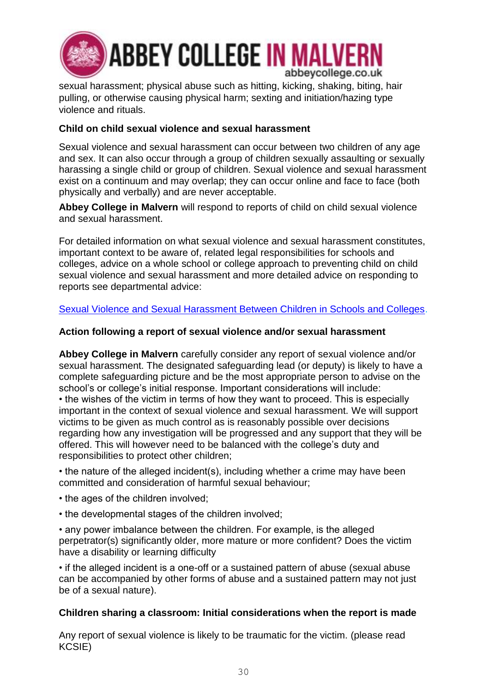

sexual harassment; physical abuse such as hitting, kicking, shaking, biting, hair pulling, or otherwise causing physical harm; sexting and initiation/hazing type violence and rituals.

### **Child on child sexual violence and sexual harassment**

Sexual violence and sexual harassment can occur between two children of any age and sex. It can also occur through a group of children sexually assaulting or sexually harassing a single child or group of children. Sexual violence and sexual harassment exist on a continuum and may overlap; they can occur online and face to face (both physically and verbally) and are never acceptable.

**Abbey College in Malvern** will respond to reports of child on child sexual violence and sexual harassment.

For detailed information on what sexual violence and sexual harassment constitutes, important context to be aware of, related legal responsibilities for schools and colleges, advice on a whole school or college approach to preventing child on child sexual violence and sexual harassment and more detailed advice on responding to reports see departmental advice:

### [Sexual Violence and Sexual Harassment Between Children in Schools and Colleges.](https://assets.publishing.service.gov.uk/government/uploads/system/uploads/attachment_data/file/999239/SVSH_2021.pdf)

### **Action following a report of sexual violence and/or sexual harassment**

**Abbey College in Malvern** carefully consider any report of sexual violence and/or sexual harassment. The designated safeguarding lead (or deputy) is likely to have a complete safeguarding picture and be the most appropriate person to advise on the school's or college's initial response. Important considerations will include: • the wishes of the victim in terms of how they want to proceed. This is especially important in the context of sexual violence and sexual harassment. We will support victims to be given as much control as is reasonably possible over decisions regarding how any investigation will be progressed and any support that they will be offered. This will however need to be balanced with the college's duty and responsibilities to protect other children;

• the nature of the alleged incident(s), including whether a crime may have been committed and consideration of harmful sexual behaviour;

- the ages of the children involved;
- the developmental stages of the children involved;

• any power imbalance between the children. For example, is the alleged perpetrator(s) significantly older, more mature or more confident? Does the victim have a disability or learning difficulty

• if the alleged incident is a one-off or a sustained pattern of abuse (sexual abuse can be accompanied by other forms of abuse and a sustained pattern may not just be of a sexual nature).

### **Children sharing a classroom: Initial considerations when the report is made**

Any report of sexual violence is likely to be traumatic for the victim. (please read KCSIE)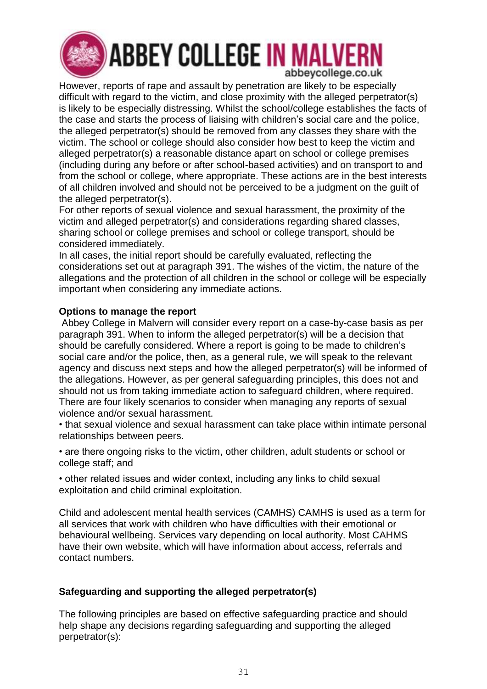

However, reports of rape and assault by penetration are likely to be especially difficult with regard to the victim, and close proximity with the alleged perpetrator(s) is likely to be especially distressing. Whilst the school/college establishes the facts of the case and starts the process of liaising with children's social care and the police, the alleged perpetrator(s) should be removed from any classes they share with the victim. The school or college should also consider how best to keep the victim and alleged perpetrator(s) a reasonable distance apart on school or college premises (including during any before or after school-based activities) and on transport to and from the school or college, where appropriate. These actions are in the best interests of all children involved and should not be perceived to be a judgment on the guilt of the alleged perpetrator(s).

For other reports of sexual violence and sexual harassment, the proximity of the victim and alleged perpetrator(s) and considerations regarding shared classes, sharing school or college premises and school or college transport, should be considered immediately.

In all cases, the initial report should be carefully evaluated, reflecting the considerations set out at paragraph 391. The wishes of the victim, the nature of the allegations and the protection of all children in the school or college will be especially important when considering any immediate actions.

### **Options to manage the report**

Abbey College in Malvern will consider every report on a case-by-case basis as per paragraph 391. When to inform the alleged perpetrator(s) will be a decision that should be carefully considered. Where a report is going to be made to children's social care and/or the police, then, as a general rule, we will speak to the relevant agency and discuss next steps and how the alleged perpetrator(s) will be informed of the allegations. However, as per general safeguarding principles, this does not and should not us from taking immediate action to safeguard children, where required. There are four likely scenarios to consider when managing any reports of sexual violence and/or sexual harassment.

• that sexual violence and sexual harassment can take place within intimate personal relationships between peers.

• are there ongoing risks to the victim, other children, adult students or school or college staff; and

• other related issues and wider context, including any links to child sexual exploitation and child criminal exploitation.

Child and adolescent mental health services (CAMHS) CAMHS is used as a term for all services that work with children who have difficulties with their emotional or behavioural wellbeing. Services vary depending on local authority. Most CAHMS have their own website, which will have information about access, referrals and contact numbers.

### **Safeguarding and supporting the alleged perpetrator(s)**

The following principles are based on effective safeguarding practice and should help shape any decisions regarding safeguarding and supporting the alleged perpetrator(s):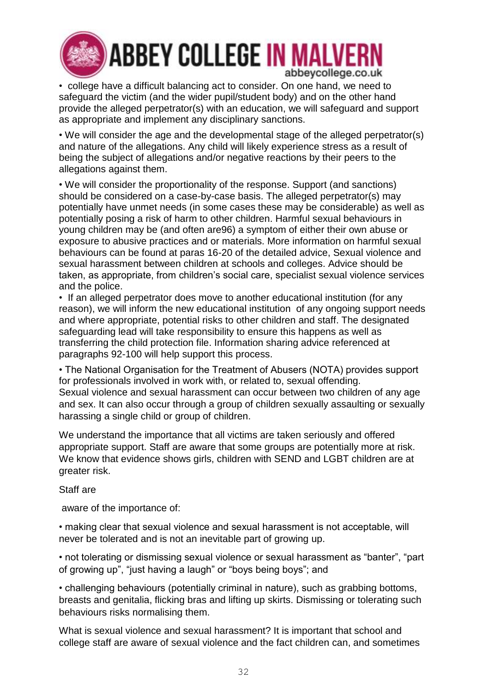

# **ABBEY COLLEGE IN MALVERI** abbeycollege.co.uk

• college have a difficult balancing act to consider. On one hand, we need to safeguard the victim (and the wider pupil/student body) and on the other hand provide the alleged perpetrator(s) with an education, we will safeguard and support as appropriate and implement any disciplinary sanctions.

• We will consider the age and the developmental stage of the alleged perpetrator(s) and nature of the allegations. Any child will likely experience stress as a result of being the subject of allegations and/or negative reactions by their peers to the allegations against them.

• We will consider the proportionality of the response. Support (and sanctions) should be considered on a case-by-case basis. The alleged perpetrator(s) may potentially have unmet needs (in some cases these may be considerable) as well as potentially posing a risk of harm to other children. Harmful sexual behaviours in young children may be (and often are96) a symptom of either their own abuse or exposure to abusive practices and or materials. More information on harmful sexual behaviours can be found at paras 16-20 of the detailed advice, Sexual violence and sexual harassment between children at schools and colleges. Advice should be taken, as appropriate, from children's social care, specialist sexual violence services and the police.

• If an alleged perpetrator does move to another educational institution (for any reason), we will inform the new educational institution of any ongoing support needs and where appropriate, potential risks to other children and staff. The designated safeguarding lead will take responsibility to ensure this happens as well as transferring the child protection file. Information sharing advice referenced at paragraphs 92-100 will help support this process.

• The National Organisation for the Treatment of Abusers (NOTA) provides support for professionals involved in work with, or related to, sexual offending. Sexual violence and sexual harassment can occur between two children of any age and sex. It can also occur through a group of children sexually assaulting or sexually harassing a single child or group of children.

We understand the importance that all victims are taken seriously and offered appropriate support. Staff are aware that some groups are potentially more at risk. We know that evidence shows girls, children with SEND and LGBT children are at greater risk.

Staff are

aware of the importance of:

• making clear that sexual violence and sexual harassment is not acceptable, will never be tolerated and is not an inevitable part of growing up.

• not tolerating or dismissing sexual violence or sexual harassment as "banter", "part of growing up", "just having a laugh" or "boys being boys"; and

• challenging behaviours (potentially criminal in nature), such as grabbing bottoms, breasts and genitalia, flicking bras and lifting up skirts. Dismissing or tolerating such behaviours risks normalising them.

What is sexual violence and sexual harassment? It is important that school and college staff are aware of sexual violence and the fact children can, and sometimes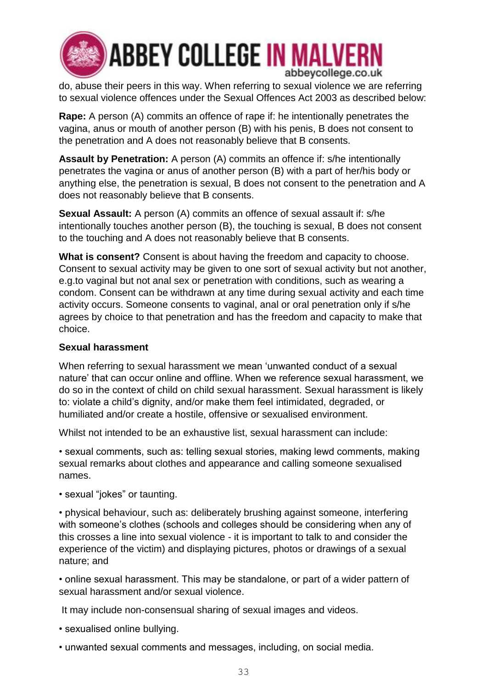

# **ABBEY COLLEGE IN MALVERN** abbeycollege.co.uk

do, abuse their peers in this way. When referring to sexual violence we are referring to sexual violence offences under the Sexual Offences Act 2003 as described below:

**Rape:** A person (A) commits an offence of rape if: he intentionally penetrates the vagina, anus or mouth of another person (B) with his penis, B does not consent to the penetration and A does not reasonably believe that B consents.

**Assault by Penetration:** A person (A) commits an offence if: s/he intentionally penetrates the vagina or anus of another person (B) with a part of her/his body or anything else, the penetration is sexual, B does not consent to the penetration and A does not reasonably believe that B consents.

**Sexual Assault:** A person (A) commits an offence of sexual assault if: s/he intentionally touches another person (B), the touching is sexual, B does not consent to the touching and A does not reasonably believe that B consents.

**What is consent?** Consent is about having the freedom and capacity to choose. Consent to sexual activity may be given to one sort of sexual activity but not another, e.g.to vaginal but not anal sex or penetration with conditions, such as wearing a condom. Consent can be withdrawn at any time during sexual activity and each time activity occurs. Someone consents to vaginal, anal or oral penetration only if s/he agrees by choice to that penetration and has the freedom and capacity to make that choice.

### **Sexual harassment**

When referring to sexual harassment we mean 'unwanted conduct of a sexual nature' that can occur online and offline. When we reference sexual harassment, we do so in the context of child on child sexual harassment. Sexual harassment is likely to: violate a child's dignity, and/or make them feel intimidated, degraded, or humiliated and/or create a hostile, offensive or sexualised environment.

Whilst not intended to be an exhaustive list, sexual harassment can include:

• sexual comments, such as: telling sexual stories, making lewd comments, making sexual remarks about clothes and appearance and calling someone sexualised names.

• sexual "jokes" or taunting.

• physical behaviour, such as: deliberately brushing against someone, interfering with someone's clothes (schools and colleges should be considering when any of this crosses a line into sexual violence - it is important to talk to and consider the experience of the victim) and displaying pictures, photos or drawings of a sexual nature; and

• online sexual harassment. This may be standalone, or part of a wider pattern of sexual harassment and/or sexual violence.

It may include non-consensual sharing of sexual images and videos.

- sexualised online bullying.
- unwanted sexual comments and messages, including, on social media.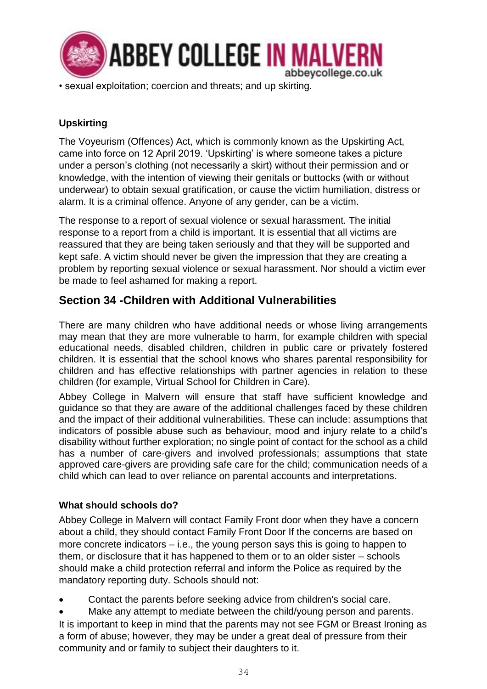

• sexual exploitation; coercion and threats; and up skirting.

### **Upskirting**

The Voyeurism (Offences) Act, which is commonly known as the Upskirting Act, came into force on 12 April 2019. 'Upskirting' is where someone takes a picture under a person's clothing (not necessarily a skirt) without their permission and or knowledge, with the intention of viewing their genitals or buttocks (with or without underwear) to obtain sexual gratification, or cause the victim humiliation, distress or alarm. It is a criminal offence. Anyone of any gender, can be a victim.

The response to a report of sexual violence or sexual harassment. The initial response to a report from a child is important. It is essential that all victims are reassured that they are being taken seriously and that they will be supported and kept safe. A victim should never be given the impression that they are creating a problem by reporting sexual violence or sexual harassment. Nor should a victim ever be made to feel ashamed for making a report.

## **Section 34 -Children with Additional Vulnerabilities**

There are many children who have additional needs or whose living arrangements may mean that they are more vulnerable to harm, for example children with special educational needs, disabled children, children in public care or privately fostered children. It is essential that the school knows who shares parental responsibility for children and has effective relationships with partner agencies in relation to these children (for example, Virtual School for Children in Care).

Abbey College in Malvern will ensure that staff have sufficient knowledge and guidance so that they are aware of the additional challenges faced by these children and the impact of their additional vulnerabilities. These can include: assumptions that indicators of possible abuse such as behaviour, mood and injury relate to a child's disability without further exploration; no single point of contact for the school as a child has a number of care-givers and involved professionals; assumptions that state approved care-givers are providing safe care for the child; communication needs of a child which can lead to over reliance on parental accounts and interpretations.

### **What should schools do?**

Abbey College in Malvern will contact Family Front door when they have a concern about a child, they should contact Family Front Door If the concerns are based on more concrete indicators – i.e., the young person says this is going to happen to them, or disclosure that it has happened to them or to an older sister – schools should make a child protection referral and inform the Police as required by the mandatory reporting duty. Schools should not:

• Contact the parents before seeking advice from children's social care.

Make any attempt to mediate between the child/young person and parents. It is important to keep in mind that the parents may not see FGM or Breast Ironing as a form of abuse; however, they may be under a great deal of pressure from their community and or family to subject their daughters to it.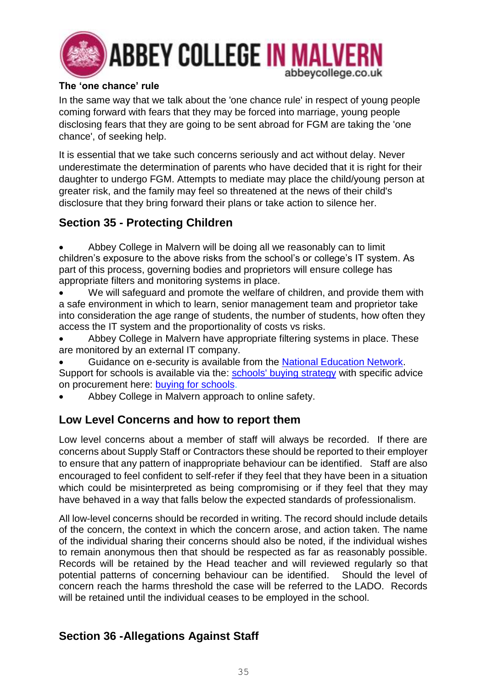

### **The 'one chance' rule**

In the same way that we talk about the 'one chance rule' in respect of young people coming forward with fears that they may be forced into marriage, young people disclosing fears that they are going to be sent abroad for FGM are taking the 'one chance', of seeking help.

It is essential that we take such concerns seriously and act without delay. Never underestimate the determination of parents who have decided that it is right for their daughter to undergo FGM. Attempts to mediate may place the child/young person at greater risk, and the family may feel so threatened at the news of their child's disclosure that they bring forward their plans or take action to silence her.

## **Section 35 - Protecting Children**

• Abbey College in Malvern will be doing all we reasonably can to limit children's exposure to the above risks from the school's or college's IT system. As part of this process, governing bodies and proprietors will ensure college has appropriate filters and monitoring systems in place.

• We will safeguard and promote the welfare of children, and provide them with a safe environment in which to learn, senior management team and proprietor take into consideration the age range of students, the number of students, how often they access the IT system and the proportionality of costs vs risks.

- Abbey College in Malvern have appropriate filtering systems in place. These are monitored by an external IT company.
- Guidance on e-security is available from the [National Education Network.](https://www.nen.gov.uk/) Support for schools is available via the: [schools' buying strategy](https://www.gov.uk/government/publications/schools-buying-strategy) with specific advice on procurement here: [buying for schools.](https://www.gov.uk/guidance/buying-for-schools)
- Abbey College in Malvern approach to online safety.

## **Low Level Concerns and how to report them**

Low level concerns about a member of staff will always be recorded. If there are concerns about Supply Staff or Contractors these should be reported to their employer to ensure that any pattern of inappropriate behaviour can be identified. Staff are also encouraged to feel confident to self-refer if they feel that they have been in a situation which could be misinterpreted as being compromising or if they feel that they may have behaved in a way that falls below the expected standards of professionalism.

All low-level concerns should be recorded in writing. The record should include details of the concern, the context in which the concern arose, and action taken. The name of the individual sharing their concerns should also be noted, if the individual wishes to remain anonymous then that should be respected as far as reasonably possible. Records will be retained by the Head teacher and will reviewed regularly so that potential patterns of concerning behaviour can be identified. Should the level of concern reach the harms threshold the case will be referred to the LADO. Records will be retained until the individual ceases to be employed in the school.

## **Section 36 -Allegations Against Staff**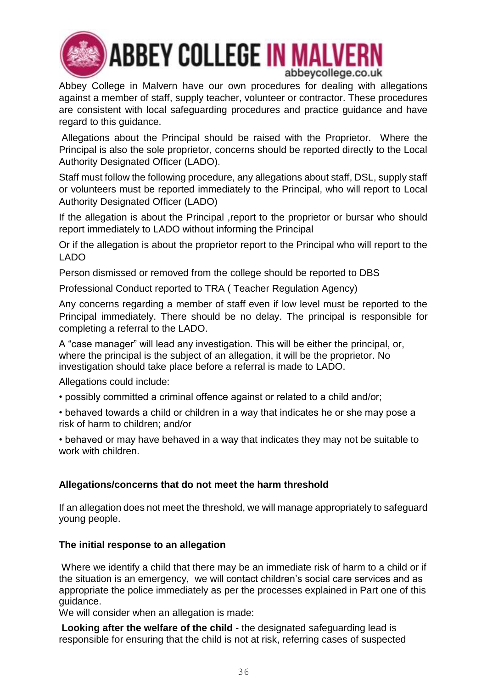

# **ABBEY COLLEGE IN MALVERN** abbeycollege.co.uk

Abbey College in Malvern have our own procedures for dealing with allegations against a member of staff, supply teacher, volunteer or contractor. These procedures are consistent with local safeguarding procedures and practice guidance and have regard to this guidance.

Allegations about the Principal should be raised with the Proprietor. Where the Principal is also the sole proprietor, concerns should be reported directly to the Local Authority Designated Officer (LADO).

Staff must follow the following procedure, any allegations about staff, DSL, supply staff or volunteers must be reported immediately to the Principal, who will report to Local Authority Designated Officer (LADO)

If the allegation is about the Principal ,report to the proprietor or bursar who should report immediately to LADO without informing the Principal

Or if the allegation is about the proprietor report to the Principal who will report to the LADO

Person dismissed or removed from the college should be reported to DBS

Professional Conduct reported to TRA ( Teacher Regulation Agency)

Any concerns regarding a member of staff even if low level must be reported to the Principal immediately. There should be no delay. The principal is responsible for completing a referral to the LADO.

A "case manager" will lead any investigation. This will be either the principal, or, where the principal is the subject of an allegation, it will be the proprietor. No investigation should take place before a referral is made to LADO.

Allegations could include:

- possibly committed a criminal offence against or related to a child and/or;
- behaved towards a child or children in a way that indicates he or she may pose a risk of harm to children; and/or

• behaved or may have behaved in a way that indicates they may not be suitable to work with children.

### **Allegations/concerns that do not meet the harm threshold**

If an allegation does not meet the threshold, we will manage appropriately to safeguard young people.

### **The initial response to an allegation**

Where we identify a child that there may be an immediate risk of harm to a child or if the situation is an emergency, we will contact children's social care services and as appropriate the police immediately as per the processes explained in Part one of this guidance.

We will consider when an allegation is made:

**Looking after the welfare of the child** - the designated safeguarding lead is responsible for ensuring that the child is not at risk, referring cases of suspected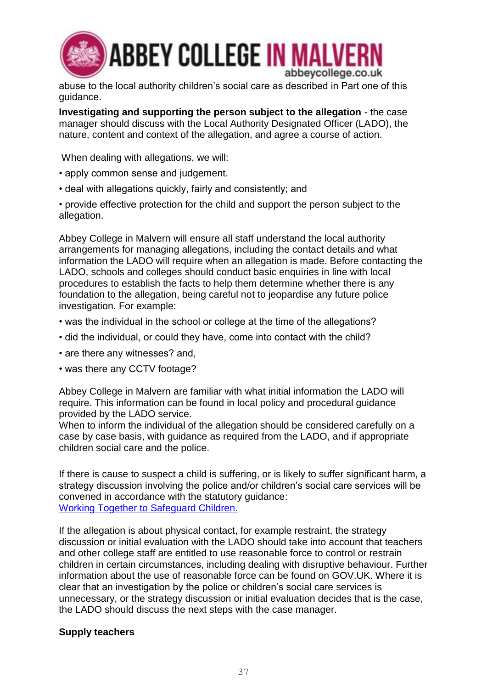

abuse to the local authority children's social care as described in Part one of this guidance.

**Investigating and supporting the person subject to the allegation** - the case manager should discuss with the Local Authority Designated Officer (LADO), the nature, content and context of the allegation, and agree a course of action.

When dealing with allegations, we will:

- apply common sense and judgement.
- deal with allegations quickly, fairly and consistently; and

• provide effective protection for the child and support the person subject to the allegation.

Abbey College in Malvern will ensure all staff understand the local authority arrangements for managing allegations, including the contact details and what information the LADO will require when an allegation is made. Before contacting the LADO, schools and colleges should conduct basic enquiries in line with local procedures to establish the facts to help them determine whether there is any foundation to the allegation, being careful not to jeopardise any future police investigation. For example:

- was the individual in the school or college at the time of the allegations?
- did the individual, or could they have, come into contact with the child?
- are there any witnesses? and,
- was there any CCTV footage?

Abbey College in Malvern are familiar with what initial information the LADO will require. This information can be found in local policy and procedural guidance provided by the LADO service.

When to inform the individual of the allegation should be considered carefully on a case by case basis, with guidance as required from the LADO, and if appropriate children social care and the police.

If there is cause to suspect a child is suffering, or is likely to suffer significant harm, a strategy discussion involving the police and/or children's social care services will be convened in accordance with the statutory guidance: [Working Together to Safeguard Children.](https://www.gov.uk/government/publications/working-together-to-safeguard-children--2) 

If the allegation is about physical contact, for example restraint, the strategy discussion or initial evaluation with the LADO should take into account that teachers and other college staff are entitled to use reasonable force to control or restrain children in certain circumstances, including dealing with disruptive behaviour. Further information about the use of reasonable force can be found on GOV.UK. Where it is clear that an investigation by the police or children's social care services is unnecessary, or the strategy discussion or initial evaluation decides that is the case, the LADO should discuss the next steps with the case manager.

### **Supply teachers**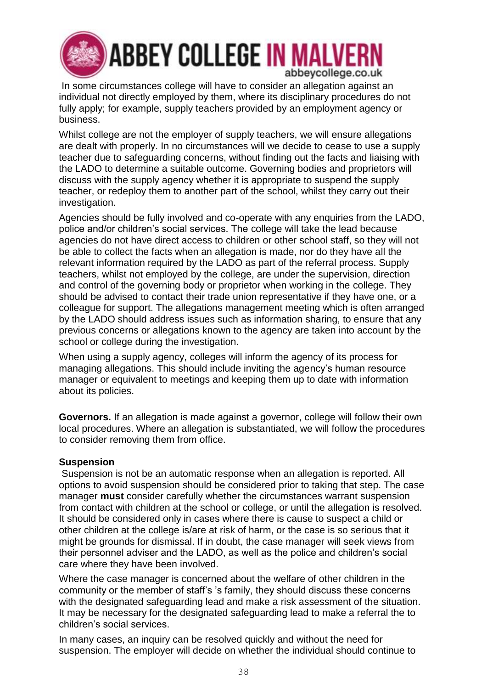

In some circumstances college will have to consider an allegation against an individual not directly employed by them, where its disciplinary procedures do not fully apply; for example, supply teachers provided by an employment agency or business.

Whilst college are not the employer of supply teachers, we will ensure allegations are dealt with properly. In no circumstances will we decide to cease to use a supply teacher due to safeguarding concerns, without finding out the facts and liaising with the LADO to determine a suitable outcome. Governing bodies and proprietors will discuss with the supply agency whether it is appropriate to suspend the supply teacher, or redeploy them to another part of the school, whilst they carry out their investigation.

Agencies should be fully involved and co-operate with any enquiries from the LADO, police and/or children's social services. The college will take the lead because agencies do not have direct access to children or other school staff, so they will not be able to collect the facts when an allegation is made, nor do they have all the relevant information required by the LADO as part of the referral process. Supply teachers, whilst not employed by the college, are under the supervision, direction and control of the governing body or proprietor when working in the college. They should be advised to contact their trade union representative if they have one, or a colleague for support. The allegations management meeting which is often arranged by the LADO should address issues such as information sharing, to ensure that any previous concerns or allegations known to the agency are taken into account by the school or college during the investigation.

When using a supply agency, colleges will inform the agency of its process for managing allegations. This should include inviting the agency's human resource manager or equivalent to meetings and keeping them up to date with information about its policies.

**Governors.** If an allegation is made against a governor, college will follow their own local procedures. Where an allegation is substantiated, we will follow the procedures to consider removing them from office.

### **Suspension**

Suspension is not be an automatic response when an allegation is reported. All options to avoid suspension should be considered prior to taking that step. The case manager **must** consider carefully whether the circumstances warrant suspension from contact with children at the school or college, or until the allegation is resolved. It should be considered only in cases where there is cause to suspect a child or other children at the college is/are at risk of harm, or the case is so serious that it might be grounds for dismissal. If in doubt, the case manager will seek views from their personnel adviser and the LADO, as well as the police and children's social care where they have been involved.

Where the case manager is concerned about the welfare of other children in the community or the member of staff's 's family, they should discuss these concerns with the designated safeguarding lead and make a risk assessment of the situation. It may be necessary for the designated safeguarding lead to make a referral the to children's social services.

In many cases, an inquiry can be resolved quickly and without the need for suspension. The employer will decide on whether the individual should continue to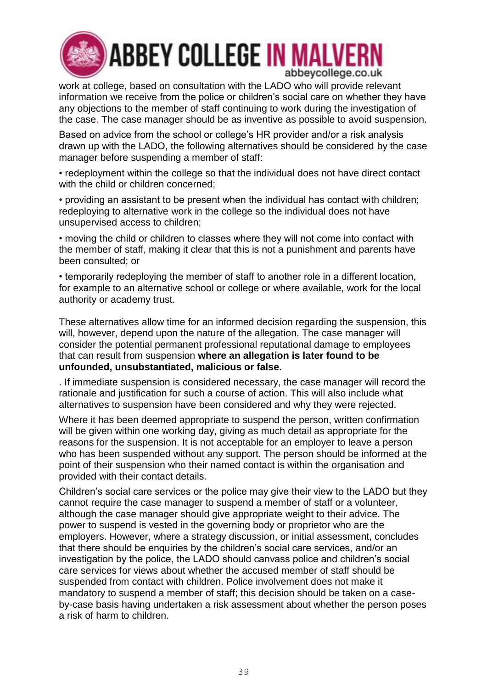

# **ABBEY COLLEGE IN MALVERN** abbeycollege.co.uk

work at college, based on consultation with the LADO who will provide relevant information we receive from the police or children's social care on whether they have any objections to the member of staff continuing to work during the investigation of the case. The case manager should be as inventive as possible to avoid suspension.

Based on advice from the school or college's HR provider and/or a risk analysis drawn up with the LADO, the following alternatives should be considered by the case manager before suspending a member of staff:

• redeployment within the college so that the individual does not have direct contact with the child or children concerned:

• providing an assistant to be present when the individual has contact with children; redeploying to alternative work in the college so the individual does not have unsupervised access to children;

• moving the child or children to classes where they will not come into contact with the member of staff, making it clear that this is not a punishment and parents have been consulted; or

• temporarily redeploying the member of staff to another role in a different location, for example to an alternative school or college or where available, work for the local authority or academy trust.

These alternatives allow time for an informed decision regarding the suspension, this will, however, depend upon the nature of the allegation. The case manager will consider the potential permanent professional reputational damage to employees that can result from suspension **where an allegation is later found to be unfounded, unsubstantiated, malicious or false.** 

. If immediate suspension is considered necessary, the case manager will record the rationale and justification for such a course of action. This will also include what alternatives to suspension have been considered and why they were rejected.

Where it has been deemed appropriate to suspend the person, written confirmation will be given within one working day, giving as much detail as appropriate for the reasons for the suspension. It is not acceptable for an employer to leave a person who has been suspended without any support. The person should be informed at the point of their suspension who their named contact is within the organisation and provided with their contact details.

Children's social care services or the police may give their view to the LADO but they cannot require the case manager to suspend a member of staff or a volunteer, although the case manager should give appropriate weight to their advice. The power to suspend is vested in the governing body or proprietor who are the employers. However, where a strategy discussion, or initial assessment, concludes that there should be enquiries by the children's social care services, and/or an investigation by the police, the LADO should canvass police and children's social care services for views about whether the accused member of staff should be suspended from contact with children. Police involvement does not make it mandatory to suspend a member of staff; this decision should be taken on a caseby-case basis having undertaken a risk assessment about whether the person poses a risk of harm to children.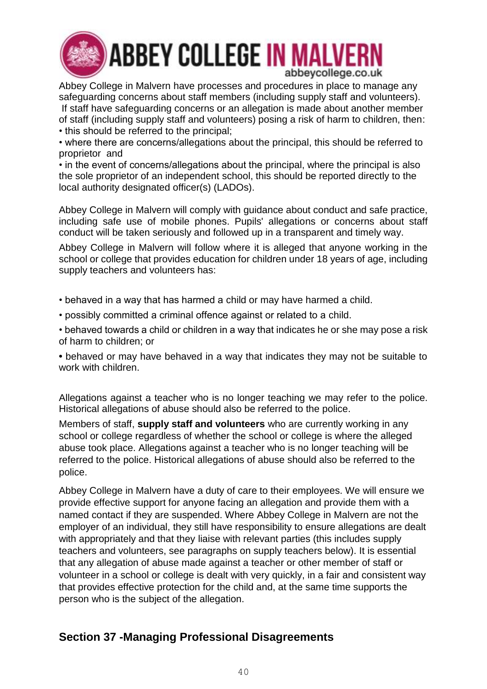

Abbey College in Malvern have processes and procedures in place to manage any safeguarding concerns about staff members (including supply staff and volunteers). If staff have safeguarding concerns or an allegation is made about another member of staff (including supply staff and volunteers) posing a risk of harm to children, then:

• this should be referred to the principal;

• where there are concerns/allegations about the principal, this should be referred to proprietor and

• in the event of concerns/allegations about the principal, where the principal is also the sole proprietor of an independent school, this should be reported directly to the local authority designated officer(s) (LADOs).

Abbey College in Malvern will comply with guidance about conduct and safe practice, including safe use of mobile phones. Pupils' allegations or concerns about staff conduct will be taken seriously and followed up in a transparent and timely way.

Abbey College in Malvern will follow where it is alleged that anyone working in the school or college that provides education for children under 18 years of age, including supply teachers and volunteers has:

• behaved in a way that has harmed a child or may have harmed a child.

• possibly committed a criminal offence against or related to a child.

• behaved towards a child or children in a way that indicates he or she may pose a risk of harm to children; or

**•** behaved or may have behaved in a way that indicates they may not be suitable to work with children.

Allegations against a teacher who is no longer teaching we may refer to the police. Historical allegations of abuse should also be referred to the police.

Members of staff, **supply staff and volunteers** who are currently working in any school or college regardless of whether the school or college is where the alleged abuse took place. Allegations against a teacher who is no longer teaching will be referred to the police. Historical allegations of abuse should also be referred to the police.

Abbey College in Malvern have a duty of care to their employees. We will ensure we provide effective support for anyone facing an allegation and provide them with a named contact if they are suspended. Where Abbey College in Malvern are not the employer of an individual, they still have responsibility to ensure allegations are dealt with appropriately and that they liaise with relevant parties (this includes supply teachers and volunteers, see paragraphs on supply teachers below). It is essential that any allegation of abuse made against a teacher or other member of staff or volunteer in a school or college is dealt with very quickly, in a fair and consistent way that provides effective protection for the child and, at the same time supports the person who is the subject of the allegation.

## **Section 37 -Managing Professional Disagreements**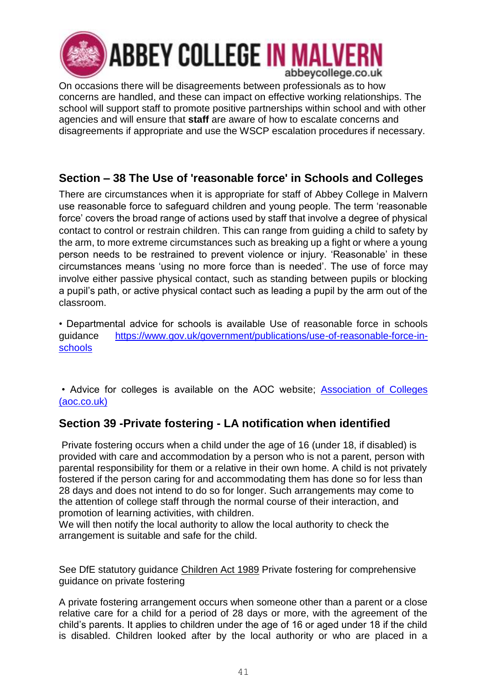

On occasions there will be disagreements between professionals as to how concerns are handled, and these can impact on effective working relationships. The school will support staff to promote positive partnerships within school and with other agencies and will ensure that **staff** are aware of how to escalate concerns and disagreements if appropriate and use the WSCP escalation procedures if necessary.

## **Section – 38 The Use of 'reasonable force' in Schools and Colleges**

There are circumstances when it is appropriate for staff of Abbey College in Malvern use reasonable force to safeguard children and young people. The term 'reasonable force' covers the broad range of actions used by staff that involve a degree of physical contact to control or restrain children. This can range from guiding a child to safety by the arm, to more extreme circumstances such as breaking up a fight or where a young person needs to be restrained to prevent violence or injury. 'Reasonable' in these circumstances means 'using no more force than is needed'. The use of force may involve either passive physical contact, such as standing between pupils or blocking a pupil's path, or active physical contact such as leading a pupil by the arm out of the classroom.

• Departmental advice for schools is available Use of reasonable force in schools guidance [https://www.gov.uk/government/publications/use-of-reasonable-force-in](https://www.gov.uk/government/publications/use-of-reasonable-force-in-schools)[schools](https://www.gov.uk/government/publications/use-of-reasonable-force-in-schools)

• Advice for colleges is available on the AOC website; [Association of Colleges](https://www.aoc.co.uk/)  [\(aoc.co.uk\)](https://www.aoc.co.uk/)

## **Section 39 -Private fostering - LA notification when identified**

Private fostering occurs when a child under the age of 16 (under 18, if disabled) is provided with care and accommodation by a person who is not a parent, person with parental responsibility for them or a relative in their own home. A child is not privately fostered if the person caring for and accommodating them has done so for less than 28 days and does not intend to do so for longer. Such arrangements may come to the attention of college staff through the normal course of their interaction, and promotion of learning activities, with children.

We will then notify the local authority to allow the local authority to check the arrangement is suitable and safe for the child.

See DfE statutory guidance [Children Act 1989](https://www.legislation.gov.uk/ukpga/1989/41/contents) Private fostering for comprehensive guidance on private fostering

A private fostering arrangement occurs when someone other than a parent or a close relative care for a child for a period of 28 days or more, with the agreement of the child's parents. It applies to children under the age of 16 or aged under 18 if the child is disabled. Children looked after by the local authority or who are placed in a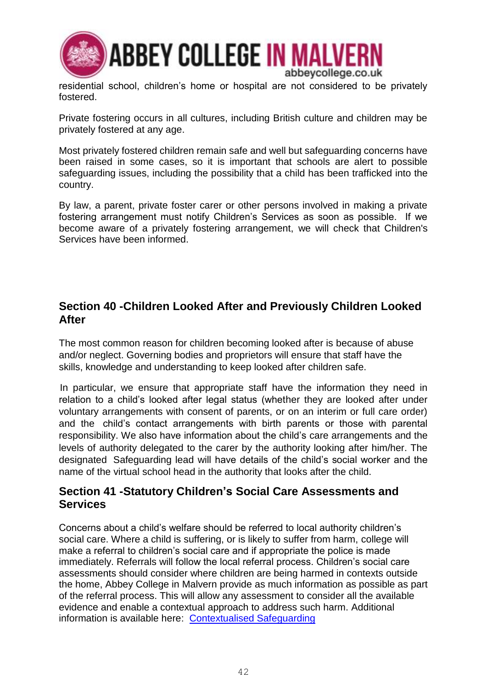

residential school, children's home or hospital are not considered to be privately fostered.

Private fostering occurs in all cultures, including British culture and children may be privately fostered at any age.

Most privately fostered children remain safe and well but safeguarding concerns have been raised in some cases, so it is important that schools are alert to possible safeguarding issues, including the possibility that a child has been trafficked into the country.

By law, a parent, private foster carer or other persons involved in making a private fostering arrangement must notify Children's Services as soon as possible. If we become aware of a privately fostering arrangement, we will check that Children's Services have been informed.

## **Section 40 -Children Looked After and Previously Children Looked After**

The most common reason for children becoming looked after is because of abuse and/or neglect. Governing bodies and proprietors will ensure that staff have the skills, knowledge and understanding to keep looked after children safe.

In particular, we ensure that appropriate staff have the information they need in relation to a child's looked after legal status (whether they are looked after under voluntary arrangements with consent of parents, or on an interim or full care order) and the child's contact arrangements with birth parents or those with parental responsibility. We also have information about the child's care arrangements and the levels of authority delegated to the carer by the authority looking after him/her. The designated. Safeguarding lead will have details of the child's social worker and the name of the virtual school head in the authority that looks after the child.

## **Section 41 -Statutory Children's Social Care Assessments and Services**

Concerns about a child's welfare should be referred to local authority children's social care. Where a child is suffering, or is likely to suffer from harm, college will make a referral to children's social care and if appropriate the police is made immediately. Referrals will follow the local referral process. Children's social care assessments should consider where children are being harmed in contexts outside the home, Abbey College in Malvern provide as much information as possible as part of the referral process. This will allow any assessment to consider all the available evidence and enable a contextual approach to address such harm. Additional information is available here: [Contextualised Safeguarding](https://contextualsafeguarding.org.uk/)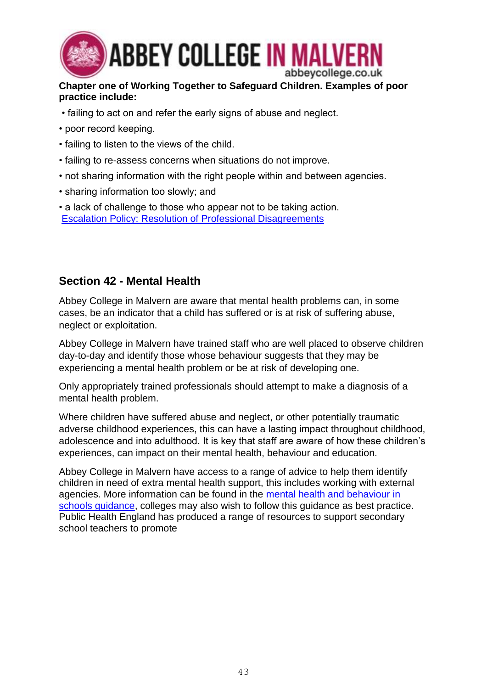

### **Chapter one of Working Together to Safeguard Children. Examples of poor practice include:**

- failing to act on and refer the early signs of abuse and neglect.
- poor record keeping.
- failing to listen to the views of the child.
- failing to re-assess concerns when situations do not improve.
- not sharing information with the right people within and between agencies.
- sharing information too slowly; and
- a lack of challenge to those who appear not to be taking action. [Escalation Policy: Resolution of Professional Disagreements](https://westmidlands.procedures.org.uk/assets/clients/6/Worcestershire%20Downloads/2018%2010%2022%20%20%20WSCB%20Escalating%20Concerns%20(update)%20(FINAL).pdf)

## **Section 42 - Mental Health**

Abbey College in Malvern are aware that mental health problems can, in some cases, be an indicator that a child has suffered or is at risk of suffering abuse, neglect or exploitation.

Abbey College in Malvern have trained staff who are well placed to observe children day-to-day and identify those whose behaviour suggests that they may be experiencing a mental health problem or be at risk of developing one.

Only appropriately trained professionals should attempt to make a diagnosis of a mental health problem.

Where children have suffered abuse and neglect, or other potentially traumatic adverse childhood experiences, this can have a lasting impact throughout childhood, adolescence and into adulthood. It is key that staff are aware of how these children's experiences, can impact on their mental health, behaviour and education.

Abbey College in Malvern have access to a range of advice to help them identify children in need of extra mental health support, this includes working with external agencies. More information can be found in the [mental health and behaviour in](https://www.gov.uk/government/publications/mental-health-and-behaviour-in-schools--2)  [schools guidance,](https://www.gov.uk/government/publications/mental-health-and-behaviour-in-schools--2) colleges may also wish to follow this guidance as best practice. Public Health England has produced a range of resources to support secondary school teachers to promote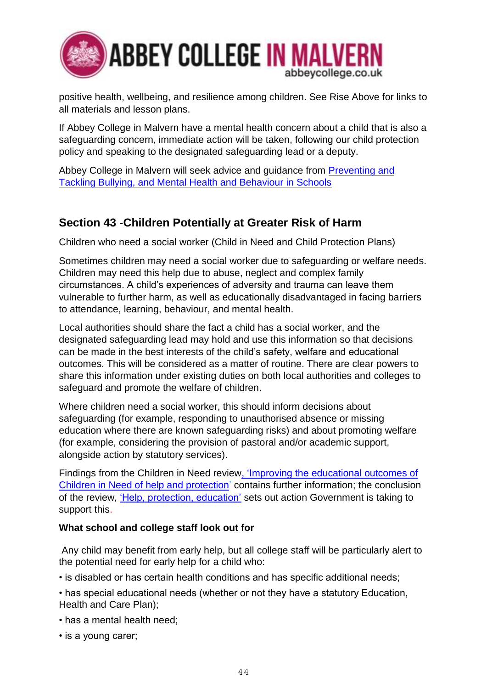

positive health, wellbeing, and resilience among children. See Rise Above for links to all materials and lesson plans.

If Abbey College in Malvern have a mental health concern about a child that is also a safeguarding concern, immediate action will be taken, following our child protection policy and speaking to the designated safeguarding lead or a deputy.

Abbey College in Malvern will seek advice and guidance from [Preventing and](https://assets.publishing.service.gov.uk/government/uploads/system/uploads/attachment_data/file/623895/Preventing_and_tackling_bullying_advice.pdf)  [Tackling Bullying, and Mental Health and Behaviour in Schools](https://assets.publishing.service.gov.uk/government/uploads/system/uploads/attachment_data/file/623895/Preventing_and_tackling_bullying_advice.pdf)

## **Section 43 -Children Potentially at Greater Risk of Harm**

Children who need a social worker (Child in Need and Child Protection Plans)

Sometimes children may need a social worker due to safeguarding or welfare needs. Children may need this help due to abuse, neglect and complex family circumstances. A child's experiences of adversity and trauma can leave them vulnerable to further harm, as well as educationally disadvantaged in facing barriers to attendance, learning, behaviour, and mental health.

Local authorities should share the fact a child has a social worker, and the designated safeguarding lead may hold and use this information so that decisions can be made in the best interests of the child's safety, welfare and educational outcomes. This will be considered as a matter of routine. There are clear powers to share this information under existing duties on both local authorities and colleges to safeguard and promote the welfare of children.

Where children need a social worker, this should inform decisions about safeguarding (for example, responding to unauthorised absence or missing education where there are known safeguarding risks) and about promoting welfare (for example, considering the provision of pastoral and/or academic support, alongside action by statutory services).

Findings from the Children in Need review, 'Improving the [educational outcomes of](https://www.gov.uk/government/publications/review-of-children-in-need/review-of-children-in-need)  [Children in Need of help and protection'](https://www.gov.uk/government/publications/review-of-children-in-need/review-of-children-in-need) contains further information; the conclusion of the review, ['Help, protection, education'](https://assets.publishing.service.gov.uk/government/uploads/system/uploads/attachment_data/file/809236/190614_CHILDREN_IN_NEED_PUBLICATION_FINAL.pdf) sets out action Government is taking to support this.

### **What school and college staff look out for**

Any child may benefit from early help, but all college staff will be particularly alert to the potential need for early help for a child who:

• is disabled or has certain health conditions and has specific additional needs;

- has special educational needs (whether or not they have a statutory Education, Health and Care Plan);
- has a mental health need;
- is a young carer;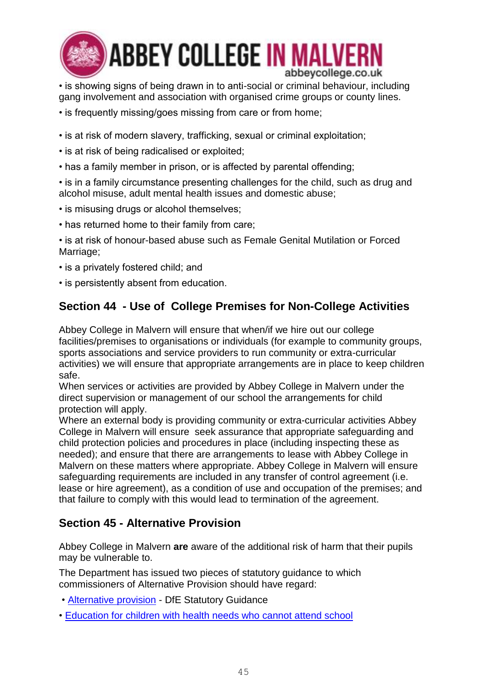

**ABBEY COLLEGE IN MALVERN** abbeycollege.co.uk

• is showing signs of being drawn in to anti-social or criminal behaviour, including gang involvement and association with organised crime groups or county lines.

- is frequently missing/goes missing from care or from home:
- is at risk of modern slavery, trafficking, sexual or criminal exploitation;
- is at risk of being radicalised or exploited;
- has a family member in prison, or is affected by parental offending;

• is in a family circumstance presenting challenges for the child, such as drug and alcohol misuse, adult mental health issues and domestic abuse;

- is misusing drugs or alcohol themselves;
- has returned home to their family from care;

• is at risk of honour-based abuse such as Female Genital Mutilation or Forced Marriage;

- is a privately fostered child; and
- is persistently absent from education.

## **Section 44 - Use of College Premises for Non-College Activities**

Abbey College in Malvern will ensure that when/if we hire out our college facilities/premises to organisations or individuals (for example to community groups, sports associations and service providers to run community or extra-curricular activities) we will ensure that appropriate arrangements are in place to keep children safe.

When services or activities are provided by Abbey College in Malvern under the direct supervision or management of our school the arrangements for child protection will apply.

Where an external body is providing community or extra-curricular activities Abbey College in Malvern will ensure seek assurance that appropriate safeguarding and child protection policies and procedures in place (including inspecting these as needed); and ensure that there are arrangements to lease with Abbey College in Malvern on these matters where appropriate. Abbey College in Malvern will ensure safeguarding requirements are included in any transfer of control agreement (i.e. lease or hire agreement), as a condition of use and occupation of the premises; and that failure to comply with this would lead to termination of the agreement.

## **Section 45 - Alternative Provision**

Abbey College in Malvern **are** aware of the additional risk of harm that their pupils may be vulnerable to.

The Department has issued two pieces of statutory guidance to which commissioners of Alternative Provision should have regard:

- • [Alternative provision](https://www.gov.uk/government/publications/alternative-provision) DfE Statutory Guidance
- • [Education for children with health needs who cannot attend school](https://www.gov.uk/government/publications/education-for-children-with-health-needs-who-cannot-attend-school)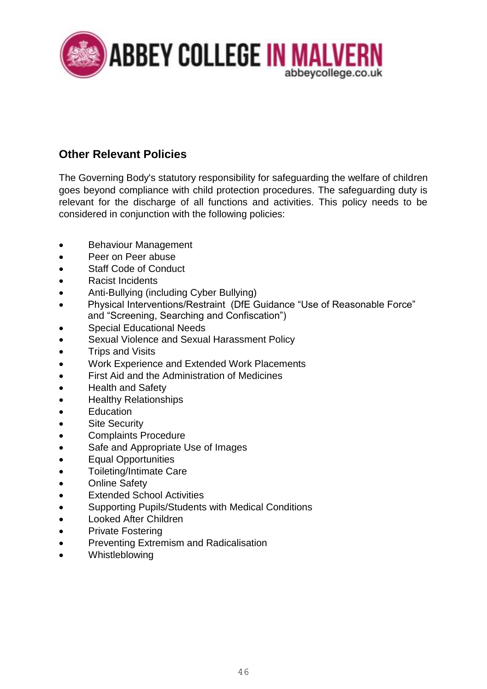

## **Other Relevant Policies**

The Governing Body's statutory responsibility for safeguarding the welfare of children goes beyond compliance with child protection procedures. The safeguarding duty is relevant for the discharge of all functions and activities. This policy needs to be considered in conjunction with the following policies:

- Behaviour Management
- Peer on Peer abuse
- Staff Code of Conduct
- Racist Incidents
- Anti-Bullying (including Cyber Bullying)
- Physical Interventions/Restraint (DfE Guidance "Use of Reasonable Force" and "Screening, Searching and Confiscation")
- Special Educational Needs
- Sexual Violence and Sexual Harassment Policy
- Trips and Visits
- Work Experience and Extended Work Placements
- First Aid and the Administration of Medicines
- Health and Safety
- Healthy Relationships
- **Education**
- **Site Security**
- Complaints Procedure
- Safe and Appropriate Use of Images
- Equal Opportunities
- Toileting/Intimate Care
- Online Safety
- **Extended School Activities**
- Supporting Pupils/Students with Medical Conditions
- Looked After Children
- Private Fostering
- Preventing Extremism and Radicalisation
- **Whistleblowing**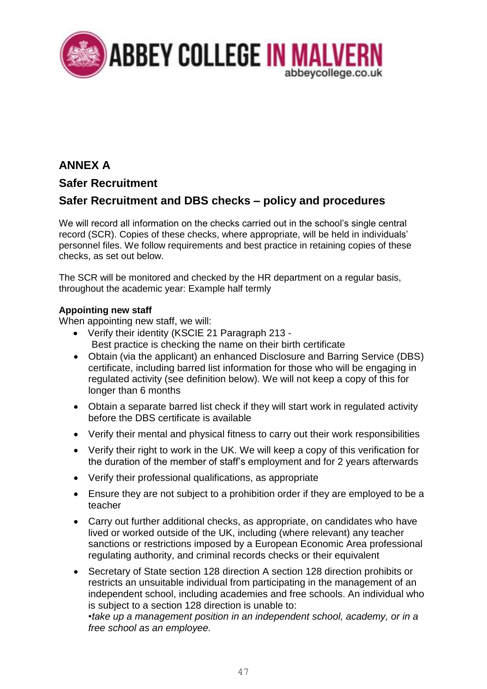

## **ANNEX A**

## **Safer Recruitment**

## **Safer Recruitment and DBS checks – policy and procedures**

We will record all information on the checks carried out in the school's single central record (SCR). Copies of these checks, where appropriate, will be held in individuals' personnel files. We follow requirements and best practice in retaining copies of these checks, as set out below.

The SCR will be monitored and checked by the HR department on a regular basis, throughout the academic year: Example half termly

### **Appointing new staff**

When appointing new staff, we will:

- Verify their identity (KSCIE 21 Paragraph 213 Best practice is checking the name on their birth certificate
- Obtain (via the applicant) an enhanced Disclosure and Barring Service (DBS) certificate, including barred list information for those who will be engaging in regulated activity (see definition below). We will not keep a copy of this for longer than 6 months
- Obtain a separate barred list check if they will start work in regulated activity before the DBS certificate is available
- Verify their mental and physical fitness to carry out their work responsibilities
- Verify their right to work in the UK. We will keep a copy of this verification for the duration of the member of staff's employment and for 2 years afterwards
- Verify their professional qualifications, as appropriate
- Ensure they are not subject to a prohibition order if they are employed to be a teacher
- Carry out further additional checks, as appropriate, on candidates who have lived or worked outside of the UK, including (where relevant) any teacher sanctions or restrictions imposed by a European Economic Area professional regulating authority, and criminal records checks or their equivalent
- Secretary of State section 128 direction A section 128 direction prohibits or restricts an unsuitable individual from participating in the management of an independent school, including academies and free schools. An individual who is subject to a section 128 direction is unable to:

*•take up a management position in an independent school, academy, or in a free school as an employee.*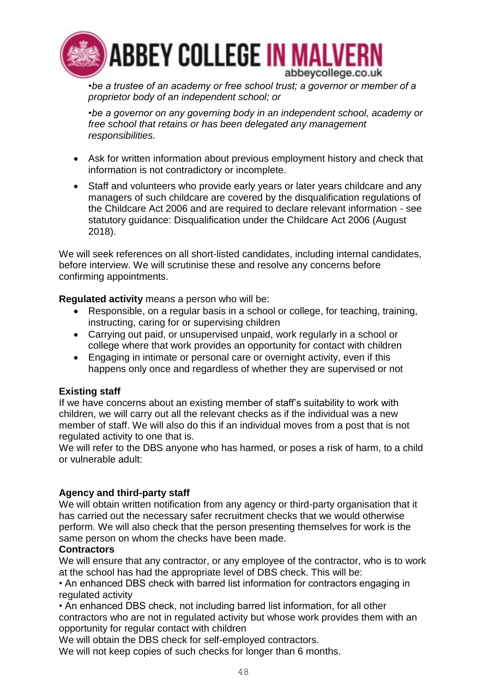

*•be a trustee of an academy or free school trust; a governor or member of a proprietor body of an independent school; or*

*•be a governor on any governing body in an independent school, academy or free school that retains or has been delegated any management responsibilities.*

- Ask for written information about previous employment history and check that information is not contradictory or incomplete.
- Staff and volunteers who provide early years or later years childcare and any managers of such childcare are covered by the disqualification regulations of the Childcare Act 2006 and are required to declare relevant information - see statutory guidance: Disqualification under the Childcare Act 2006 (August 2018).

We will seek references on all short-listed candidates, including internal candidates, before interview. We will scrutinise these and resolve any concerns before confirming appointments.

**Regulated activity** means a person who will be:

- Responsible, on a regular basis in a school or college, for teaching, training, instructing, caring for or supervising children
- Carrying out paid, or unsupervised unpaid, work regularly in a school or college where that work provides an opportunity for contact with children
- Engaging in intimate or personal care or overnight activity, even if this happens only once and regardless of whether they are supervised or not

### **Existing staff**

If we have concerns about an existing member of staff's suitability to work with children, we will carry out all the relevant checks as if the individual was a new member of staff. We will also do this if an individual moves from a post that is not regulated activity to one that is.

We will refer to the DBS anyone who has harmed, or poses a risk of harm, to a child or vulnerable adult:

### **Agency and third-party staff**

We will obtain written notification from any agency or third-party organisation that it has carried out the necessary safer recruitment checks that we would otherwise perform. We will also check that the person presenting themselves for work is the same person on whom the checks have been made.

### **Contractors**

We will ensure that any contractor, or any employee of the contractor, who is to work at the school has had the appropriate level of DBS check. This will be:

• An enhanced DBS check with barred list information for contractors engaging in regulated activity

• An enhanced DBS check, not including barred list information, for all other contractors who are not in regulated activity but whose work provides them with an opportunity for regular contact with children

We will obtain the DBS check for self-employed contractors.

We will not keep copies of such checks for longer than 6 months.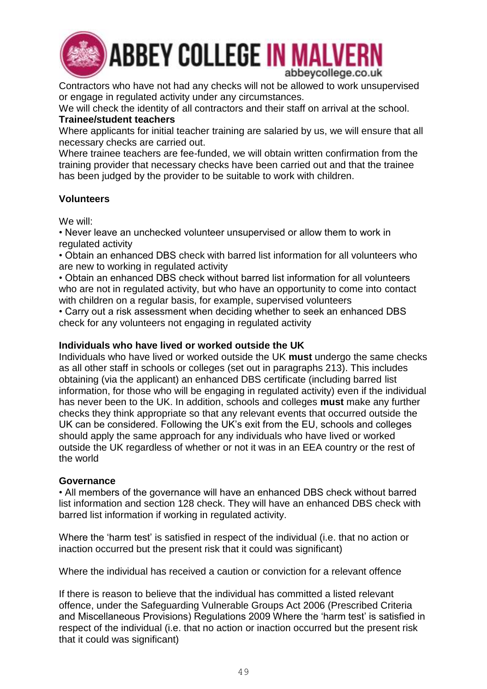

**ABBEY COLLEGE IN MALVERN** abbeycollege.co.uk

Contractors who have not had any checks will not be allowed to work unsupervised or engage in regulated activity under any circumstances.

We will check the identity of all contractors and their staff on arrival at the school. **Trainee/student teachers** 

Where applicants for initial teacher training are salaried by us, we will ensure that all necessary checks are carried out.

Where trainee teachers are fee-funded, we will obtain written confirmation from the training provider that necessary checks have been carried out and that the trainee has been judged by the provider to be suitable to work with children.

### **Volunteers**

We will:

• Never leave an unchecked volunteer unsupervised or allow them to work in regulated activity

• Obtain an enhanced DBS check with barred list information for all volunteers who are new to working in regulated activity

• Obtain an enhanced DBS check without barred list information for all volunteers who are not in regulated activity, but who have an opportunity to come into contact with children on a regular basis, for example, supervised volunteers

• Carry out a risk assessment when deciding whether to seek an enhanced DBS check for any volunteers not engaging in regulated activity

### **Individuals who have lived or worked outside the UK**

Individuals who have lived or worked outside the UK **must** undergo the same checks as all other staff in schools or colleges (set out in paragraphs 213). This includes obtaining (via the applicant) an enhanced DBS certificate (including barred list information, for those who will be engaging in regulated activity) even if the individual has never been to the UK. In addition, schools and colleges **must** make any further checks they think appropriate so that any relevant events that occurred outside the UK can be considered. Following the UK's exit from the EU, schools and colleges should apply the same approach for any individuals who have lived or worked outside the UK regardless of whether or not it was in an EEA country or the rest of the world

### **Governance**

• All members of the governance will have an enhanced DBS check without barred list information and section 128 check. They will have an enhanced DBS check with barred list information if working in regulated activity.

Where the 'harm test' is satisfied in respect of the individual (i.e. that no action or inaction occurred but the present risk that it could was significant)

Where the individual has received a caution or conviction for a relevant offence

If there is reason to believe that the individual has committed a listed relevant offence, under the Safeguarding Vulnerable Groups Act 2006 (Prescribed Criteria and Miscellaneous Provisions) Regulations 2009 Where the 'harm test' is satisfied in respect of the individual (i.e. that no action or inaction occurred but the present risk that it could was significant)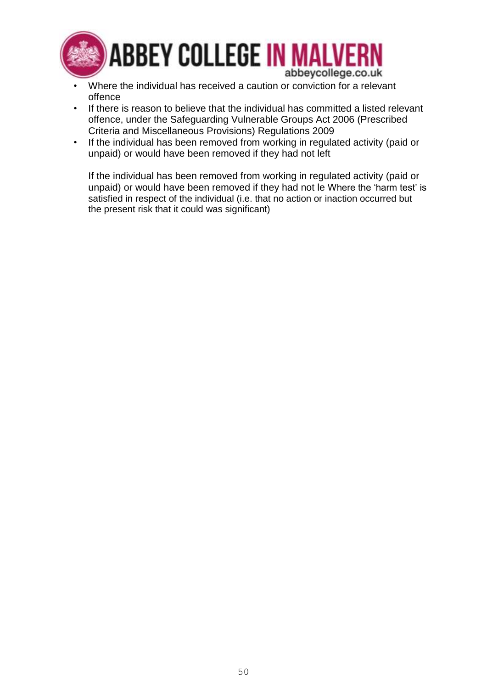

- Where the individual has received a caution or conviction for a relevant offence
- If there is reason to believe that the individual has committed a listed relevant offence, under the Safeguarding Vulnerable Groups Act 2006 (Prescribed Criteria and Miscellaneous Provisions) Regulations 2009
- If the individual has been removed from working in regulated activity (paid or unpaid) or would have been removed if they had not left

If the individual has been removed from working in regulated activity (paid or unpaid) or would have been removed if they had not le Where the 'harm test' is satisfied in respect of the individual (i.e. that no action or inaction occurred but the present risk that it could was significant)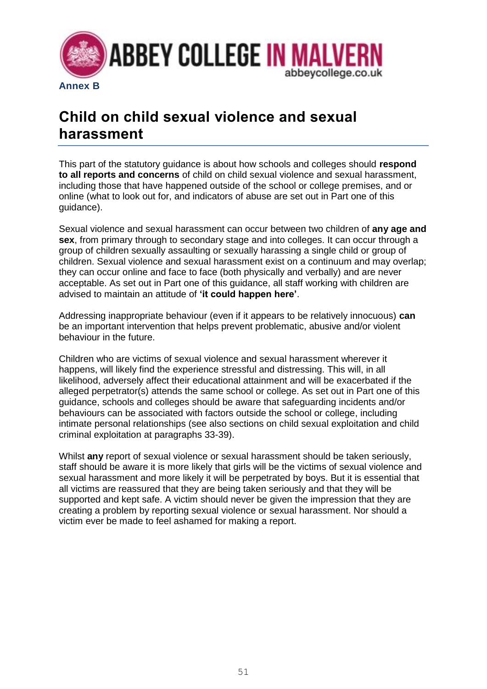

## **Child on child sexual violence and sexual harassment**

This part of the statutory guidance is about how schools and colleges should **respond to all reports and concerns** of child on child sexual violence and sexual harassment, including those that have happened outside of the school or college premises, and or online (what to look out for, and indicators of abuse are set out in Part one of this guidance).

Sexual violence and sexual harassment can occur between two children of **any age and sex**, from primary through to secondary stage and into colleges. It can occur through a group of children sexually assaulting or sexually harassing a single child or group of children. Sexual violence and sexual harassment exist on a continuum and may overlap; they can occur online and face to face (both physically and verbally) and are never acceptable. As set out in Part one of this guidance, all staff working with children are advised to maintain an attitude of **'it could happen here'**.

Addressing inappropriate behaviour (even if it appears to be relatively innocuous) **can**  be an important intervention that helps prevent problematic, abusive and/or violent behaviour in the future.

Children who are victims of sexual violence and sexual harassment wherever it happens, will likely find the experience stressful and distressing. This will, in all likelihood, adversely affect their educational attainment and will be exacerbated if the alleged perpetrator(s) attends the same school or college. As set out in Part one of this guidance, schools and colleges should be aware that safeguarding incidents and/or behaviours can be associated with factors outside the school or college, including intimate personal relationships (see also sections on child sexual exploitation and child criminal exploitation at paragraphs 33-39).

Whilst **any** report of sexual violence or sexual harassment should be taken seriously, staff should be aware it is more likely that girls will be the victims of sexual violence and sexual harassment and more likely it will be perpetrated by boys. But it is essential that all victims are reassured that they are being taken seriously and that they will be supported and kept safe. A victim should never be given the impression that they are creating a problem by reporting sexual violence or sexual harassment. Nor should a victim ever be made to feel ashamed for making a report.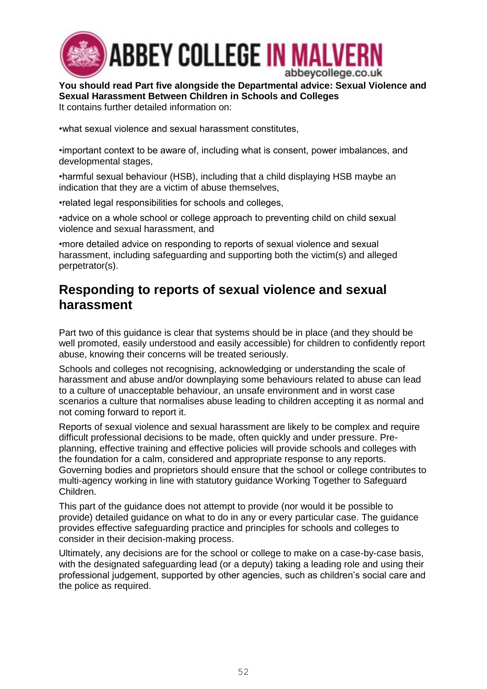

**You should read Part five alongside the Departmental advice: Sexual Violence and Sexual Harassment Between Children in Schools and Colleges** It contains further detailed information on:

•what sexual violence and sexual harassment constitutes,

•important context to be aware of, including what is consent, power imbalances, and developmental stages,

•harmful sexual behaviour (HSB), including that a child displaying HSB maybe an indication that they are a victim of abuse themselves,

•related legal responsibilities for schools and colleges,

•advice on a whole school or college approach to preventing child on child sexual violence and sexual harassment, and

•more detailed advice on responding to reports of sexual violence and sexual harassment, including safeguarding and supporting both the victim(s) and alleged perpetrator(s).

## **Responding to reports of sexual violence and sexual harassment**

Part two of this guidance is clear that systems should be in place (and they should be well promoted, easily understood and easily accessible) for children to confidently report abuse, knowing their concerns will be treated seriously.

Schools and colleges not recognising, acknowledging or understanding the scale of harassment and abuse and/or downplaying some behaviours related to abuse can lead to a culture of unacceptable behaviour, an unsafe environment and in worst case scenarios a culture that normalises abuse leading to children accepting it as normal and not coming forward to report it.

Reports of sexual violence and sexual harassment are likely to be complex and require difficult professional decisions to be made, often quickly and under pressure. Preplanning, effective training and effective policies will provide schools and colleges with the foundation for a calm, considered and appropriate response to any reports. Governing bodies and proprietors should ensure that the school or college contributes to multi-agency working in line with statutory guidance Working Together to Safeguard Children.

This part of the guidance does not attempt to provide (nor would it be possible to provide) detailed guidance on what to do in any or every particular case. The guidance provides effective safeguarding practice and principles for schools and colleges to consider in their decision-making process.

Ultimately, any decisions are for the school or college to make on a case-by-case basis, with the designated safeguarding lead (or a deputy) taking a leading role and using their professional judgement, supported by other agencies, such as children's social care and the police as required.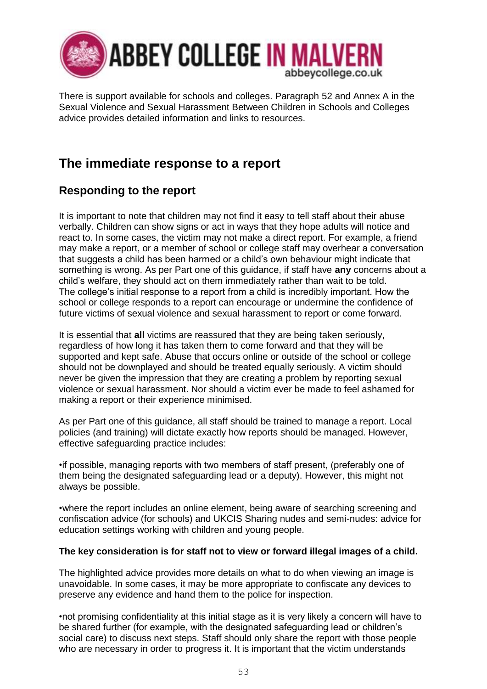

There is support available for schools and colleges. Paragraph 52 and Annex A in the Sexual Violence and Sexual Harassment Between Children in Schools and Colleges advice provides detailed information and links to resources.

## **The immediate response to a report**

## **Responding to the report**

It is important to note that children may not find it easy to tell staff about their abuse verbally. Children can show signs or act in ways that they hope adults will notice and react to. In some cases, the victim may not make a direct report. For example, a friend may make a report, or a member of school or college staff may overhear a conversation that suggests a child has been harmed or a child's own behaviour might indicate that something is wrong. As per Part one of this guidance, if staff have **any** concerns about a child's welfare, they should act on them immediately rather than wait to be told. The college's initial response to a report from a child is incredibly important. How the school or college responds to a report can encourage or undermine the confidence of future victims of sexual violence and sexual harassment to report or come forward.

It is essential that **all** victims are reassured that they are being taken seriously, regardless of how long it has taken them to come forward and that they will be supported and kept safe. Abuse that occurs online or outside of the school or college should not be downplayed and should be treated equally seriously. A victim should never be given the impression that they are creating a problem by reporting sexual violence or sexual harassment. Nor should a victim ever be made to feel ashamed for making a report or their experience minimised.

As per Part one of this guidance, all staff should be trained to manage a report. Local policies (and training) will dictate exactly how reports should be managed. However, effective safeguarding practice includes:

•if possible, managing reports with two members of staff present, (preferably one of them being the designated safeguarding lead or a deputy). However, this might not always be possible.

•where the report includes an online element, being aware of searching screening and confiscation advice (for schools) and UKCIS Sharing nudes and semi-nudes: advice for education settings working with children and young people.

### **The key consideration is for staff not to view or forward illegal images of a child.**

The highlighted advice provides more details on what to do when viewing an image is unavoidable. In some cases, it may be more appropriate to confiscate any devices to preserve any evidence and hand them to the police for inspection.

•not promising confidentiality at this initial stage as it is very likely a concern will have to be shared further (for example, with the designated safeguarding lead or children's social care) to discuss next steps. Staff should only share the report with those people who are necessary in order to progress it. It is important that the victim understands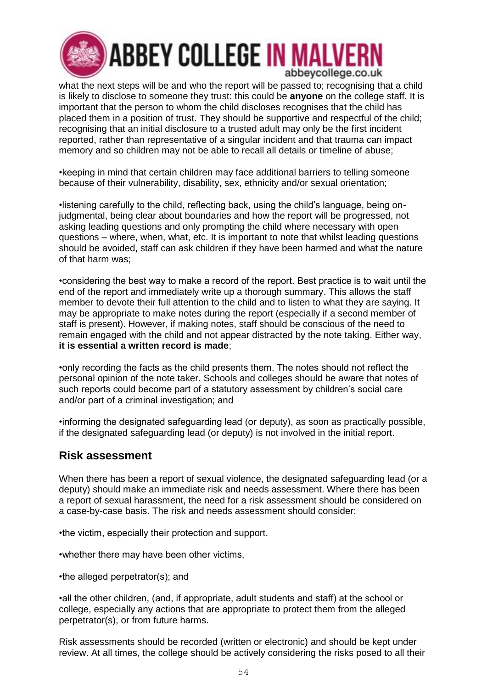

what the next steps will be and who the report will be passed to; recognising that a child is likely to disclose to someone they trust: this could be **anyone** on the college staff. It is important that the person to whom the child discloses recognises that the child has placed them in a position of trust. They should be supportive and respectful of the child; recognising that an initial disclosure to a trusted adult may only be the first incident reported, rather than representative of a singular incident and that trauma can impact memory and so children may not be able to recall all details or timeline of abuse;

•keeping in mind that certain children may face additional barriers to telling someone because of their vulnerability, disability, sex, ethnicity and/or sexual orientation;

•listening carefully to the child, reflecting back, using the child's language, being onjudgmental, being clear about boundaries and how the report will be progressed, not asking leading questions and only prompting the child where necessary with open questions – where, when, what, etc. It is important to note that whilst leading questions should be avoided, staff can ask children if they have been harmed and what the nature of that harm was;

•considering the best way to make a record of the report. Best practice is to wait until the end of the report and immediately write up a thorough summary. This allows the staff member to devote their full attention to the child and to listen to what they are saying. It may be appropriate to make notes during the report (especially if a second member of staff is present). However, if making notes, staff should be conscious of the need to remain engaged with the child and not appear distracted by the note taking. Either way, **it is essential a written record is made**;

•only recording the facts as the child presents them. The notes should not reflect the personal opinion of the note taker. Schools and colleges should be aware that notes of such reports could become part of a statutory assessment by children's social care and/or part of a criminal investigation; and

•informing the designated safeguarding lead (or deputy), as soon as practically possible, if the designated safeguarding lead (or deputy) is not involved in the initial report.

## **Risk assessment**

When there has been a report of sexual violence, the designated safeguarding lead (or a deputy) should make an immediate risk and needs assessment. Where there has been a report of sexual harassment, the need for a risk assessment should be considered on a case-by-case basis. The risk and needs assessment should consider:

•the victim, especially their protection and support.

•whether there may have been other victims,

•the alleged perpetrator(s); and

•all the other children, (and, if appropriate, adult students and staff) at the school or college, especially any actions that are appropriate to protect them from the alleged perpetrator(s), or from future harms.

Risk assessments should be recorded (written or electronic) and should be kept under review. At all times, the college should be actively considering the risks posed to all their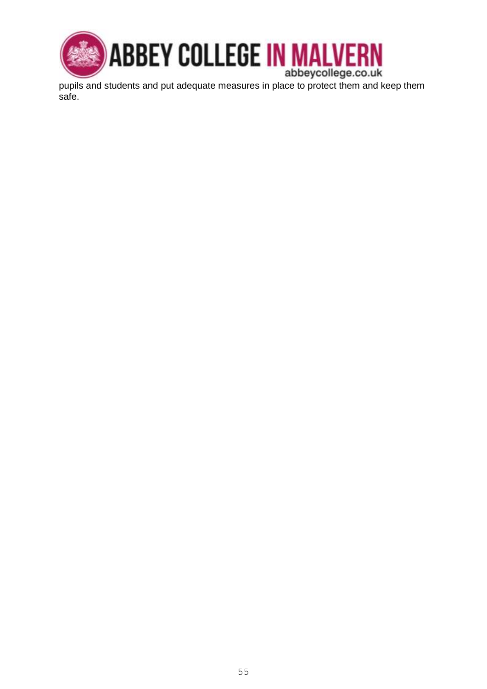

safe.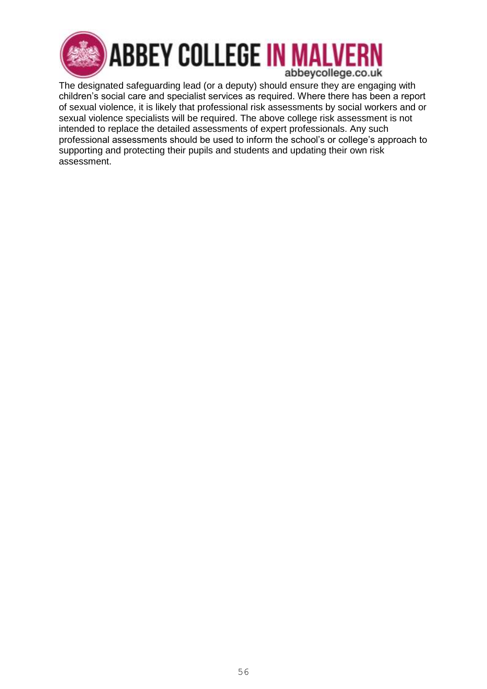

The designated safeguarding lead (or a deputy) should ensure they are engaging with children's social care and specialist services as required. Where there has been a report of sexual violence, it is likely that professional risk assessments by social workers and or sexual violence specialists will be required. The above college risk assessment is not intended to replace the detailed assessments of expert professionals. Any such professional assessments should be used to inform the school's or college's approach to supporting and protecting their pupils and students and updating their own risk assessment.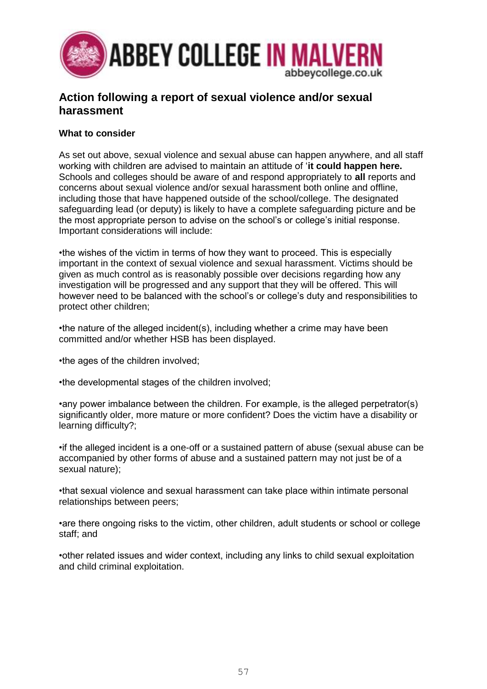

## **Action following a report of sexual violence and/or sexual harassment**

### **What to consider**

As set out above, sexual violence and sexual abuse can happen anywhere, and all staff working with children are advised to maintain an attitude of '**it could happen here.**  Schools and colleges should be aware of and respond appropriately to **all** reports and concerns about sexual violence and/or sexual harassment both online and offline, including those that have happened outside of the school/college. The designated safeguarding lead (or deputy) is likely to have a complete safeguarding picture and be the most appropriate person to advise on the school's or college's initial response. Important considerations will include:

•the wishes of the victim in terms of how they want to proceed. This is especially important in the context of sexual violence and sexual harassment. Victims should be given as much control as is reasonably possible over decisions regarding how any investigation will be progressed and any support that they will be offered. This will however need to be balanced with the school's or college's duty and responsibilities to protect other children;

•the nature of the alleged incident(s), including whether a crime may have been committed and/or whether HSB has been displayed.

•the ages of the children involved;

•the developmental stages of the children involved;

•any power imbalance between the children. For example, is the alleged perpetrator(s) significantly older, more mature or more confident? Does the victim have a disability or learning difficulty?;

•if the alleged incident is a one-off or a sustained pattern of abuse (sexual abuse can be accompanied by other forms of abuse and a sustained pattern may not just be of a sexual nature);

•that sexual violence and sexual harassment can take place within intimate personal relationships between peers;

•are there ongoing risks to the victim, other children, adult students or school or college staff; and

•other related issues and wider context, including any links to child sexual exploitation and child criminal exploitation.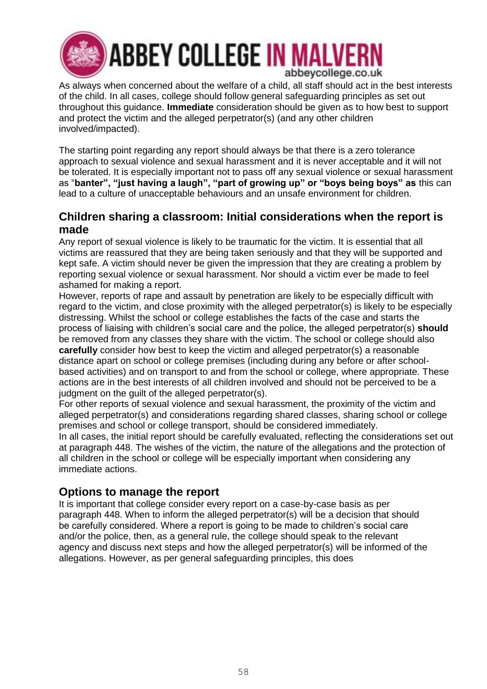

## **ABBEY COLLEGE IN MALVERN** abbeycollege.co.uk

As always when concerned about the welfare of a child, all staff should act in the best interests of the child. In all cases, college should follow general safeguarding principles as set out throughout this guidance. **Immediate** consideration should be given as to how best to support and protect the victim and the alleged perpetrator(s) (and any other children involved/impacted).

The starting point regarding any report should always be that there is a zero tolerance approach to sexual violence and sexual harassment and it is never acceptable and it will not be tolerated. It is especially important not to pass off any sexual violence or sexual harassment as "**banter", "just having a laugh", "part of growing up" or "boys being boys" as** this can lead to a culture of unacceptable behaviours and an unsafe environment for children.

### **Children sharing a classroom: Initial considerations when the report is made**

Any report of sexual violence is likely to be traumatic for the victim. It is essential that all victims are reassured that they are being taken seriously and that they will be supported and kept safe. A victim should never be given the impression that they are creating a problem by reporting sexual violence or sexual harassment. Nor should a victim ever be made to feel ashamed for making a report.

However, reports of rape and assault by penetration are likely to be especially difficult with regard to the victim, and close proximity with the alleged perpetrator(s) is likely to be especially distressing. Whilst the school or college establishes the facts of the case and starts the process of liaising with children's social care and the police, the alleged perpetrator(s) **should**  be removed from any classes they share with the victim. The school or college should also **carefully** consider how best to keep the victim and alleged perpetrator(s) a reasonable distance apart on school or college premises (including during any before or after schoolbased activities) and on transport to and from the school or college, where appropriate. These actions are in the best interests of all children involved and should not be perceived to be a judgment on the guilt of the alleged perpetrator(s).

For other reports of sexual violence and sexual harassment, the proximity of the victim and alleged perpetrator(s) and considerations regarding shared classes, sharing school or college premises and school or college transport, should be considered immediately.

In all cases, the initial report should be carefully evaluated, reflecting the considerations set out at paragraph 448. The wishes of the victim, the nature of the allegations and the protection of all children in the school or college will be especially important when considering any immediate actions.

## **Options to manage the report**

It is important that college consider every report on a case-by-case basis as per paragraph 448. When to inform the alleged perpetrator(s) will be a decision that should be carefully considered. Where a report is going to be made to children's social care and/or the police, then, as a general rule, the college should speak to the relevant agency and discuss next steps and how the alleged perpetrator(s) will be informed of the allegations. However, as per general safeguarding principles, this does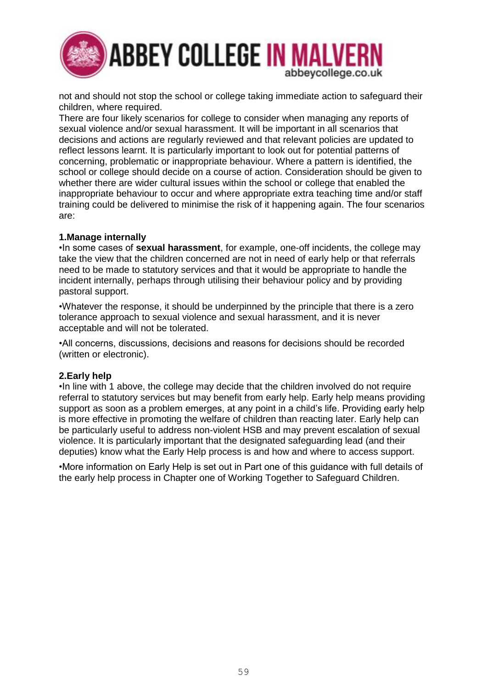

not and should not stop the school or college taking immediate action to safeguard their children, where required.

There are four likely scenarios for college to consider when managing any reports of sexual violence and/or sexual harassment. It will be important in all scenarios that decisions and actions are regularly reviewed and that relevant policies are updated to reflect lessons learnt. It is particularly important to look out for potential patterns of concerning, problematic or inappropriate behaviour. Where a pattern is identified, the school or college should decide on a course of action. Consideration should be given to whether there are wider cultural issues within the school or college that enabled the inappropriate behaviour to occur and where appropriate extra teaching time and/or staff training could be delivered to minimise the risk of it happening again. The four scenarios are:

#### **1.Manage internally**

•In some cases of **sexual harassment**, for example, one-off incidents, the college may take the view that the children concerned are not in need of early help or that referrals need to be made to statutory services and that it would be appropriate to handle the incident internally, perhaps through utilising their behaviour policy and by providing pastoral support.

•Whatever the response, it should be underpinned by the principle that there is a zero tolerance approach to sexual violence and sexual harassment, and it is never acceptable and will not be tolerated.

•All concerns, discussions, decisions and reasons for decisions should be recorded (written or electronic).

#### **2.Early help**

•In line with 1 above, the college may decide that the children involved do not require referral to statutory services but may benefit from early help. Early help means providing support as soon as a problem emerges, at any point in a child's life. Providing early help is more effective in promoting the welfare of children than reacting later. Early help can be particularly useful to address non-violent HSB and may prevent escalation of sexual violence. It is particularly important that the designated safeguarding lead (and their deputies) know what the Early Help process is and how and where to access support.

•More information on Early Help is set out in Part one of this guidance with full details of the early help process in Chapter one of Working Together to Safeguard Children.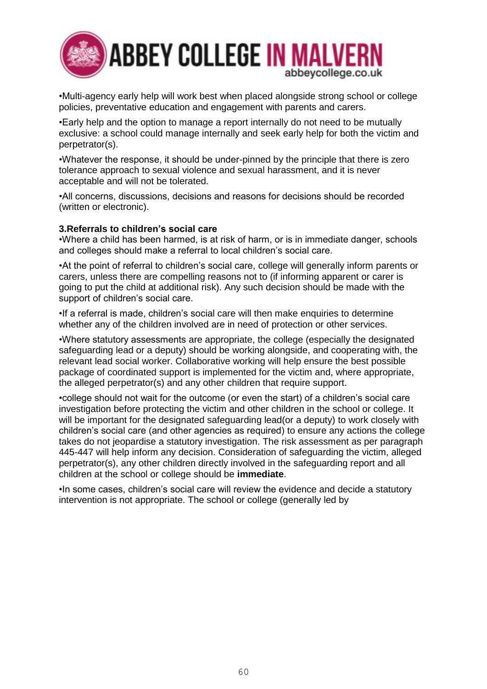

•Multi-agency early help will work best when placed alongside strong school or college policies, preventative education and engagement with parents and carers.

•Early help and the option to manage a report internally do not need to be mutually exclusive: a school could manage internally and seek early help for both the victim and perpetrator(s).

•Whatever the response, it should be under-pinned by the principle that there is zero tolerance approach to sexual violence and sexual harassment, and it is never acceptable and will not be tolerated.

•All concerns, discussions, decisions and reasons for decisions should be recorded (written or electronic).

#### **3.Referrals to children's social care**

•Where a child has been harmed, is at risk of harm, or is in immediate danger, schools and colleges should make a referral to local children's social care.

•At the point of referral to children's social care, college will generally inform parents or carers, unless there are compelling reasons not to (if informing apparent or carer is going to put the child at additional risk). Any such decision should be made with the support of children's social care.

•If a referral is made, children's social care will then make enquiries to determine whether any of the children involved are in need of protection or other services.

•Where statutory assessments are appropriate, the college (especially the designated safeguarding lead or a deputy) should be working alongside, and cooperating with, the relevant lead social worker. Collaborative working will help ensure the best possible package of coordinated support is implemented for the victim and, where appropriate, the alleged perpetrator(s) and any other children that require support.

•college should not wait for the outcome (or even the start) of a children's social care investigation before protecting the victim and other children in the school or college. It will be important for the designated safeguarding lead(or a deputy) to work closely with children's social care (and other agencies as required) to ensure any actions the college takes do not jeopardise a statutory investigation. The risk assessment as per paragraph 445-447 will help inform any decision. Consideration of safeguarding the victim, alleged perpetrator(s), any other children directly involved in the safeguarding report and all children at the school or college should be **immediate**.

•In some cases, children's social care will review the evidence and decide a statutory intervention is not appropriate. The school or college (generally led by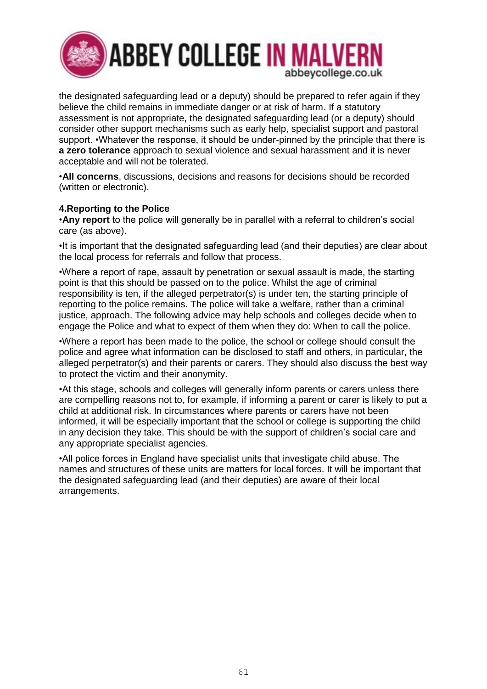

the designated safeguarding lead or a deputy) should be prepared to refer again if they believe the child remains in immediate danger or at risk of harm. If a statutory assessment is not appropriate, the designated safeguarding lead (or a deputy) should consider other support mechanisms such as early help, specialist support and pastoral support. •Whatever the response, it should be under-pinned by the principle that there is **a zero tolerance** approach to sexual violence and sexual harassment and it is never acceptable and will not be tolerated.

•**All concerns**, discussions, decisions and reasons for decisions should be recorded (written or electronic).

#### **4.Reporting to the Police**

•**Any report** to the police will generally be in parallel with a referral to children's social care (as above).

•It is important that the designated safeguarding lead (and their deputies) are clear about the local process for referrals and follow that process.

•Where a report of rape, assault by penetration or sexual assault is made, the starting point is that this should be passed on to the police. Whilst the age of criminal responsibility is ten, if the alleged perpetrator(s) is under ten, the starting principle of reporting to the police remains. The police will take a welfare, rather than a criminal justice, approach. The following advice may help schools and colleges decide when to engage the Police and what to expect of them when they do: When to call the police.

•Where a report has been made to the police, the school or college should consult the police and agree what information can be disclosed to staff and others, in particular, the alleged perpetrator(s) and their parents or carers. They should also discuss the best way to protect the victim and their anonymity.

•At this stage, schools and colleges will generally inform parents or carers unless there are compelling reasons not to, for example, if informing a parent or carer is likely to put a child at additional risk. In circumstances where parents or carers have not been informed, it will be especially important that the school or college is supporting the child in any decision they take. This should be with the support of children's social care and any appropriate specialist agencies.

•All police forces in England have specialist units that investigate child abuse. The names and structures of these units are matters for local forces. It will be important that the designated safeguarding lead (and their deputies) are aware of their local arrangements.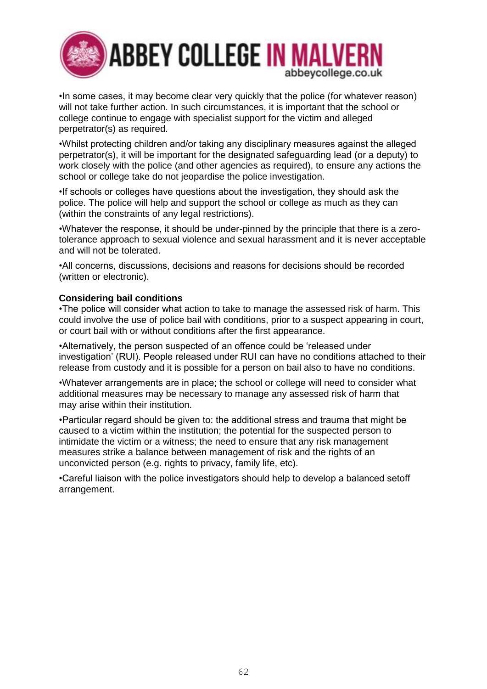

•In some cases, it may become clear very quickly that the police (for whatever reason) will not take further action. In such circumstances, it is important that the school or college continue to engage with specialist support for the victim and alleged perpetrator(s) as required.

•Whilst protecting children and/or taking any disciplinary measures against the alleged perpetrator(s), it will be important for the designated safeguarding lead (or a deputy) to work closely with the police (and other agencies as required), to ensure any actions the school or college take do not jeopardise the police investigation.

•If schools or colleges have questions about the investigation, they should ask the police. The police will help and support the school or college as much as they can (within the constraints of any legal restrictions).

•Whatever the response, it should be under-pinned by the principle that there is a zerotolerance approach to sexual violence and sexual harassment and it is never acceptable and will not be tolerated.

•All concerns, discussions, decisions and reasons for decisions should be recorded (written or electronic).

### **Considering bail conditions**

•The police will consider what action to take to manage the assessed risk of harm. This could involve the use of police bail with conditions, prior to a suspect appearing in court, or court bail with or without conditions after the first appearance.

•Alternatively, the person suspected of an offence could be 'released under investigation' (RUI). People released under RUI can have no conditions attached to their release from custody and it is possible for a person on bail also to have no conditions.

•Whatever arrangements are in place; the school or college will need to consider what additional measures may be necessary to manage any assessed risk of harm that may arise within their institution.

•Particular regard should be given to: the additional stress and trauma that might be caused to a victim within the institution; the potential for the suspected person to intimidate the victim or a witness; the need to ensure that any risk management measures strike a balance between management of risk and the rights of an unconvicted person (e.g. rights to privacy, family life, etc).

•Careful liaison with the police investigators should help to develop a balanced setoff arrangement.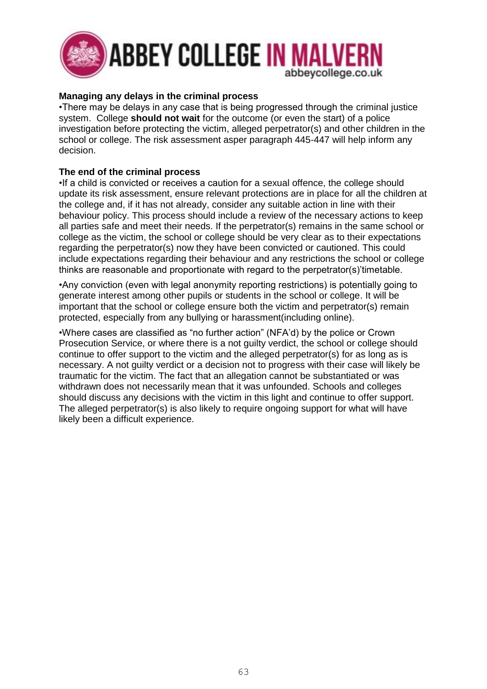

### **Managing any delays in the criminal process**

•There may be delays in any case that is being progressed through the criminal justice system. College **should not wait** for the outcome (or even the start) of a police investigation before protecting the victim, alleged perpetrator(s) and other children in the school or college. The risk assessment asper paragraph 445-447 will help inform any decision.

### **The end of the criminal process**

•If a child is convicted or receives a caution for a sexual offence, the college should update its risk assessment, ensure relevant protections are in place for all the children at the college and, if it has not already, consider any suitable action in line with their behaviour policy. This process should include a review of the necessary actions to keep all parties safe and meet their needs. If the perpetrator(s) remains in the same school or college as the victim, the school or college should be very clear as to their expectations regarding the perpetrator(s) now they have been convicted or cautioned. This could include expectations regarding their behaviour and any restrictions the school or college thinks are reasonable and proportionate with regard to the perpetrator(s)'timetable.

•Any conviction (even with legal anonymity reporting restrictions) is potentially going to generate interest among other pupils or students in the school or college. It will be important that the school or college ensure both the victim and perpetrator(s) remain protected, especially from any bullying or harassment(including online).

•Where cases are classified as "no further action" (NFA'd) by the police or Crown Prosecution Service, or where there is a not guilty verdict, the school or college should continue to offer support to the victim and the alleged perpetrator(s) for as long as is necessary. A not guilty verdict or a decision not to progress with their case will likely be traumatic for the victim. The fact that an allegation cannot be substantiated or was withdrawn does not necessarily mean that it was unfounded. Schools and colleges should discuss any decisions with the victim in this light and continue to offer support. The alleged perpetrator(s) is also likely to require ongoing support for what will have likely been a difficult experience.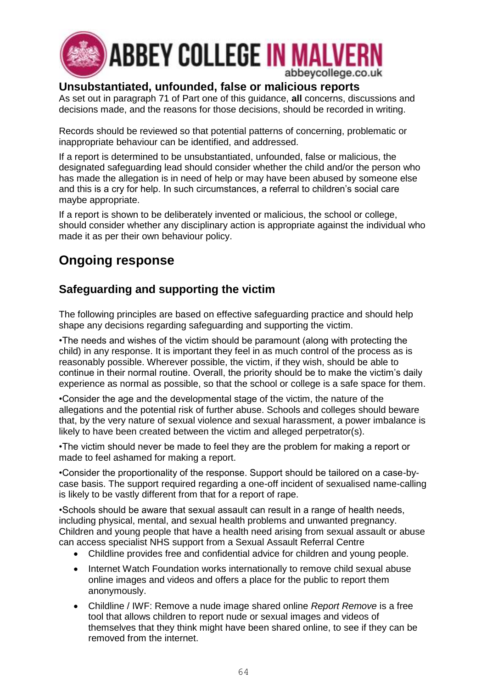

## **Unsubstantiated, unfounded, false or malicious reports**

As set out in paragraph 71 of Part one of this guidance, **all** concerns, discussions and decisions made, and the reasons for those decisions, should be recorded in writing.

Records should be reviewed so that potential patterns of concerning, problematic or inappropriate behaviour can be identified, and addressed.

If a report is determined to be unsubstantiated, unfounded, false or malicious, the designated safeguarding lead should consider whether the child and/or the person who has made the allegation is in need of help or may have been abused by someone else and this is a cry for help. In such circumstances, a referral to children's social care maybe appropriate.

If a report is shown to be deliberately invented or malicious, the school or college, should consider whether any disciplinary action is appropriate against the individual who made it as per their own behaviour policy.

## **Ongoing response**

## **Safeguarding and supporting the victim**

The following principles are based on effective safeguarding practice and should help shape any decisions regarding safeguarding and supporting the victim.

•The needs and wishes of the victim should be paramount (along with protecting the child) in any response. It is important they feel in as much control of the process as is reasonably possible. Wherever possible, the victim, if they wish, should be able to continue in their normal routine. Overall, the priority should be to make the victim's daily experience as normal as possible, so that the school or college is a safe space for them.

•Consider the age and the developmental stage of the victim, the nature of the allegations and the potential risk of further abuse. Schools and colleges should beware that, by the very nature of sexual violence and sexual harassment, a power imbalance is likely to have been created between the victim and alleged perpetrator(s).

•The victim should never be made to feel they are the problem for making a report or made to feel ashamed for making a report.

•Consider the proportionality of the response. Support should be tailored on a case-bycase basis. The support required regarding a one-off incident of sexualised name-calling is likely to be vastly different from that for a report of rape.

•Schools should be aware that sexual assault can result in a range of health needs, including physical, mental, and sexual health problems and unwanted pregnancy. Children and young people that have a health need arising from sexual assault or abuse can access specialist NHS support from a Sexual Assault Referral Centre

- Childline provides free and confidential advice for children and young people.
- Internet Watch Foundation works internationally to remove child sexual abuse online images and videos and offers a place for the public to report them anonymously.
- Childline / IWF: Remove a nude image shared online *Report Remove* is a free tool that allows children to report nude or sexual images and videos of themselves that they think might have been shared online, to see if they can be removed from the internet.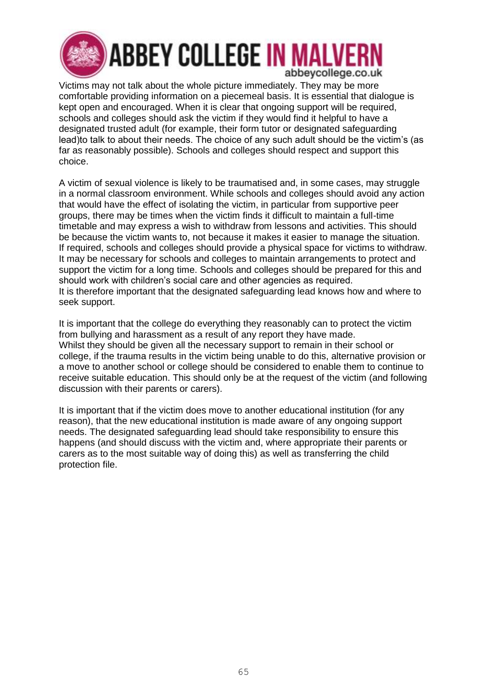

Victims may not talk about the whole picture immediately. They may be more comfortable providing information on a piecemeal basis. It is essential that dialogue is kept open and encouraged. When it is clear that ongoing support will be required, schools and colleges should ask the victim if they would find it helpful to have a designated trusted adult (for example, their form tutor or designated safeguarding lead)to talk to about their needs. The choice of any such adult should be the victim's (as far as reasonably possible). Schools and colleges should respect and support this choice.

A victim of sexual violence is likely to be traumatised and, in some cases, may struggle in a normal classroom environment. While schools and colleges should avoid any action that would have the effect of isolating the victim, in particular from supportive peer groups, there may be times when the victim finds it difficult to maintain a full-time timetable and may express a wish to withdraw from lessons and activities. This should be because the victim wants to, not because it makes it easier to manage the situation. If required, schools and colleges should provide a physical space for victims to withdraw. It may be necessary for schools and colleges to maintain arrangements to protect and support the victim for a long time. Schools and colleges should be prepared for this and should work with children's social care and other agencies as required. It is therefore important that the designated safeguarding lead knows how and where to seek support.

It is important that the college do everything they reasonably can to protect the victim from bullying and harassment as a result of any report they have made. Whilst they should be given all the necessary support to remain in their school or college, if the trauma results in the victim being unable to do this, alternative provision or a move to another school or college should be considered to enable them to continue to receive suitable education. This should only be at the request of the victim (and following discussion with their parents or carers).

It is important that if the victim does move to another educational institution (for any reason), that the new educational institution is made aware of any ongoing support needs. The designated safeguarding lead should take responsibility to ensure this happens (and should discuss with the victim and, where appropriate their parents or carers as to the most suitable way of doing this) as well as transferring the child protection file.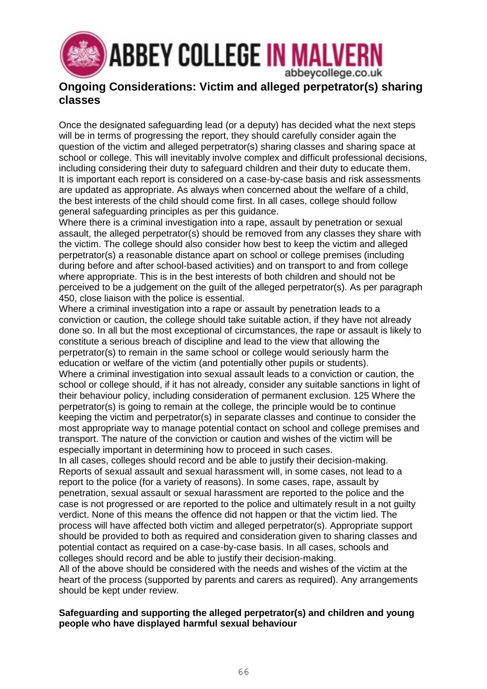

### **Ongoing Considerations: Victim and alleged perpetrator(s) sharing classes**

Once the designated safeguarding lead (or a deputy) has decided what the next steps will be in terms of progressing the report, they should carefully consider again the question of the victim and alleged perpetrator(s) sharing classes and sharing space at school or college. This will inevitably involve complex and difficult professional decisions, including considering their duty to safeguard children and their duty to educate them. It is important each report is considered on a case-by-case basis and risk assessments are updated as appropriate. As always when concerned about the welfare of a child, the best interests of the child should come first. In all cases, college should follow general safeguarding principles as per this guidance.

Where there is a criminal investigation into a rape, assault by penetration or sexual assault, the alleged perpetrator(s) should be removed from any classes they share with the victim. The college should also consider how best to keep the victim and alleged perpetrator(s) a reasonable distance apart on school or college premises (including during before and after school-based activities) and on transport to and from college where appropriate. This is in the best interests of both children and should not be perceived to be a judgement on the guilt of the alleged perpetrator(s). As per paragraph 450, close liaison with the police is essential.

Where a criminal investigation into a rape or assault by penetration leads to a conviction or caution, the college should take suitable action, if they have not already done so. In all but the most exceptional of circumstances, the rape or assault is likely to constitute a serious breach of discipline and lead to the view that allowing the perpetrator(s) to remain in the same school or college would seriously harm the education or welfare of the victim (and potentially other pupils or students).

Where a criminal investigation into sexual assault leads to a conviction or caution, the school or college should, if it has not already, consider any suitable sanctions in light of their behaviour policy, including consideration of permanent exclusion. 125 Where the perpetrator(s) is going to remain at the college, the principle would be to continue keeping the victim and perpetrator(s) in separate classes and continue to consider the most appropriate way to manage potential contact on school and college premises and transport. The nature of the conviction or caution and wishes of the victim will be especially important in determining how to proceed in such cases.

In all cases, colleges should record and be able to justify their decision-making. Reports of sexual assault and sexual harassment will, in some cases, not lead to a report to the police (for a variety of reasons). In some cases, rape, assault by penetration, sexual assault or sexual harassment are reported to the police and the case is not progressed or are reported to the police and ultimately result in a not guilty verdict. None of this means the offence did not happen or that the victim lied. The process will have affected both victim and alleged perpetrator(s). Appropriate support should be provided to both as required and consideration given to sharing classes and potential contact as required on a case-by-case basis. In all cases, schools and colleges should record and be able to justify their decision-making. All of the above should be considered with the needs and wishes of the victim at the heart of the process (supported by parents and carers as required). Any arrangements should be kept under review.

#### **Safeguarding and supporting the alleged perpetrator(s) and children and young people who have displayed harmful sexual behaviour**